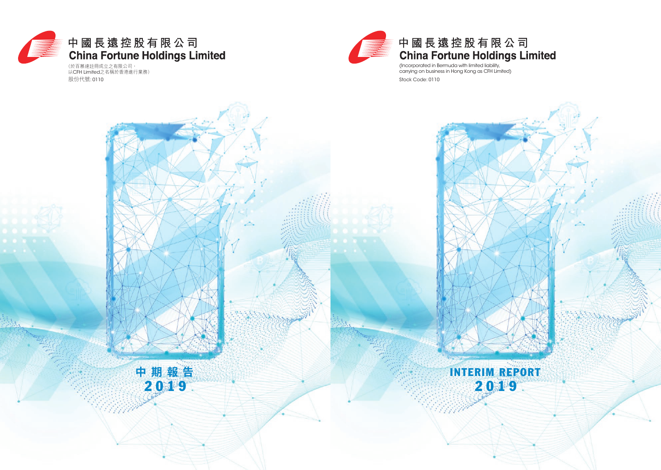

# 中國長遠控股有限公司

(Incorporated in Bermuda with limited liability, carrying on business in Hong Kong as CFH Limited) Stock Code: 0110

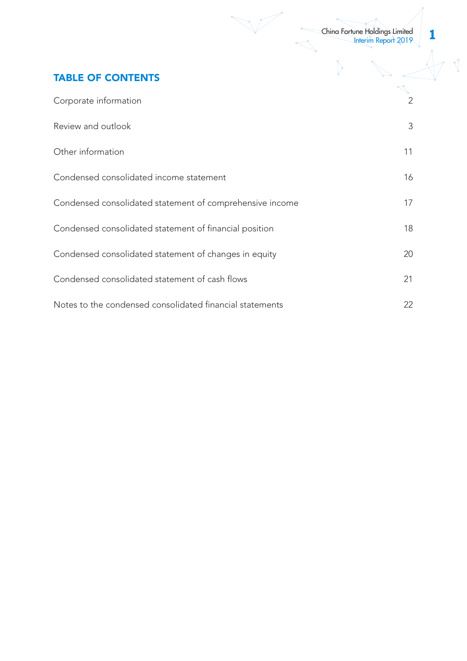IN.

 $\cfrac{1}{\sqrt{2}}$ 

↘

 $\overline{\sqrt{2}}$ 

# TABLE OF CONTENTS

| Corporate information                                    | 2  |
|----------------------------------------------------------|----|
| Review and outlook                                       | 3  |
| Other information                                        | 11 |
| Condensed consolidated income statement                  | 16 |
| Condensed consolidated statement of comprehensive income | 17 |
| Condensed consolidated statement of financial position   | 18 |
| Condensed consolidated statement of changes in equity    | 20 |
| Condensed consolidated statement of cash flows           | 21 |
| Notes to the condensed consolidated financial statements | 22 |

 $\sqrt{\phantom{a}}$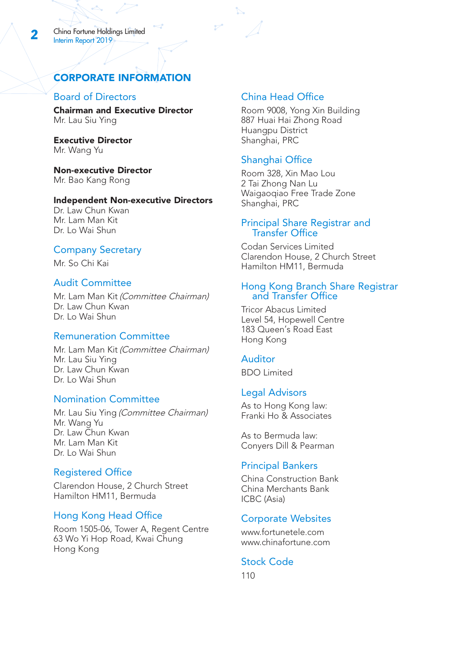# CORPORATE INFORMATION

# Board of Directors

Chairman and Executive Director Mr. Lau Siu Ying

Executive Director Mr. Wang Yu

Non-executive Director Mr. Bao Kang Rong

#### Independent Non-executive Directors

Dr. Law Chun Kwan Mr. Lam Man Kit Dr. Lo Wai Shun

#### Company Secretary

Mr. So Chi Kai

### Audit Committee

Mr. Lam Man Kit (Committee Chairman) Dr. Law Chun Kwan Dr. Lo Wai Shun

### Remuneration Committee

Mr. Lam Man Kit (Committee Chairman) Mr. Lau Siu Ying Dr. Law Chun Kwan Dr. Lo Wai Shun

### Nomination Committee

Mr. Lau Siu Ying (Committee Chairman) Mr. Wang Yu Dr. Law Chun Kwan Mr. Lam Man Kit Dr. Lo Wai Shun

# Registered Office

Clarendon House, 2 Church Street Hamilton HM11, Bermuda

# Hong Kong Head Office

Room 1505-06, Tower A, Regent Centre 63 Wo Yi Hop Road, Kwai Chung Hong Kong

# China Head Office

Room 9008, Yong Xin Building 887 Huai Hai Zhong Road Huangpu District Shanghai, PRC

# Shanghai Office

Room 328, Xin Mao Lou 2 Tai Zhong Nan Lu Waigaoqiao Free Trade Zone Shanghai, PRC

### Principal Share Registrar and Transfer Office

Codan Services Limited Clarendon House, 2 Church Street Hamilton HM11, Bermuda

#### Hong Kong Branch Share Registrar and Transfer Office

Tricor Abacus Limited Level 54, Hopewell Centre 183 Queen's Road East Hong Kong

#### Auditor

BDO Limited

#### Legal Advisors

As to Hong Kong law: Franki Ho & Associates

As to Bermuda law: Conyers Dill & Pearman

#### Principal Bankers

China Construction Bank China Merchants Bank ICBC (Asia)

### Corporate Websites

www.fortunetele.com www.chinafortune.com

### Stock Code

110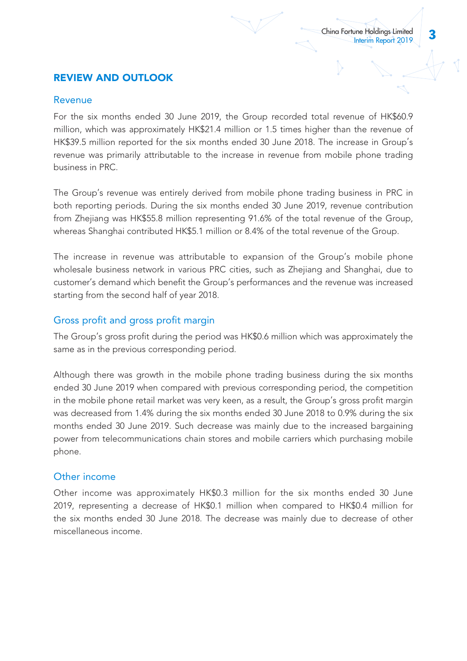# REVIEW AND OUTLOOK

# Revenue

For the six months ended 30 June 2019, the Group recorded total revenue of HK\$60.9 million, which was approximately HK\$21.4 million or 1.5 times higher than the revenue of HK\$39.5 million reported for the six months ended 30 June 2018. The increase in Group's revenue was primarily attributable to the increase in revenue from mobile phone trading business in PRC.

The Group's revenue was entirely derived from mobile phone trading business in PRC in both reporting periods. During the six months ended 30 June 2019, revenue contribution from Zhejiang was HK\$55.8 million representing 91.6% of the total revenue of the Group, whereas Shanghai contributed HK\$5.1 million or 8.4% of the total revenue of the Group.

The increase in revenue was attributable to expansion of the Group's mobile phone wholesale business network in various PRC cities, such as Zhejiang and Shanghai, due to customer's demand which benefit the Group's performances and the revenue was increased starting from the second half of year 2018.

# Gross profit and gross profit margin

The Group's gross profit during the period was HK\$0.6 million which was approximately the same as in the previous corresponding period.

Although there was growth in the mobile phone trading business during the six months ended 30 June 2019 when compared with previous corresponding period, the competition in the mobile phone retail market was very keen, as a result, the Group's gross profit margin was decreased from 1.4% during the six months ended 30 June 2018 to 0.9% during the six months ended 30 June 2019. Such decrease was mainly due to the increased bargaining power from telecommunications chain stores and mobile carriers which purchasing mobile phone.

# Other income

Other income was approximately HK\$0.3 million for the six months ended 30 June 2019, representing a decrease of HK\$0.1 million when compared to HK\$0.4 million for the six months ended 30 June 2018. The decrease was mainly due to decrease of other miscellaneous income.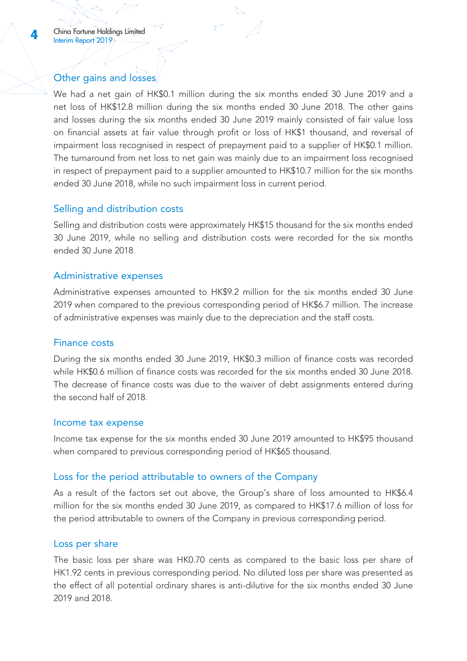# Other gains and losses

We had a net gain of HK\$0.1 million during the six months ended 30 June 2019 and a net loss of HK\$12.8 million during the six months ended 30 June 2018. The other gains and losses during the six months ended 30 June 2019 mainly consisted of fair value loss on financial assets at fair value through profit or loss of HK\$1 thousand, and reversal of impairment loss recognised in respect of prepayment paid to a supplier of HK\$0.1 million. The turnaround from net loss to net gain was mainly due to an impairment loss recognised in respect of prepayment paid to a supplier amounted to HK\$10.7 million for the six months ended 30 June 2018, while no such impairment loss in current period.

# Selling and distribution costs

Selling and distribution costs were approximately HK\$15 thousand for the six months ended 30 June 2019, while no selling and distribution costs were recorded for the six months ended 30 June 2018.

# Administrative expenses

Administrative expenses amounted to HK\$9.2 million for the six months ended 30 June 2019 when compared to the previous corresponding period of HK\$6.7 million. The increase of administrative expenses was mainly due to the depreciation and the staff costs.

# Finance costs

During the six months ended 30 June 2019, HK\$0.3 million of finance costs was recorded while HK\$0.6 million of finance costs was recorded for the six months ended 30 June 2018. The decrease of finance costs was due to the waiver of debt assignments entered during the second half of 2018.

# Income tax expense

Income tax expense for the six months ended 30 June 2019 amounted to HK\$95 thousand when compared to previous corresponding period of HK\$65 thousand.

# Loss for the period attributable to owners of the Company

As a result of the factors set out above, the Group's share of loss amounted to HK\$6.4 million for the six months ended 30 June 2019, as compared to HK\$17.6 million of loss for the period attributable to owners of the Company in previous corresponding period.

# Loss per share

The basic loss per share was HK0.70 cents as compared to the basic loss per share of HK1.92 cents in previous corresponding period. No diluted loss per share was presented as the effect of all potential ordinary shares is anti-dilutive for the six months ended 30 June 2019 and 2018.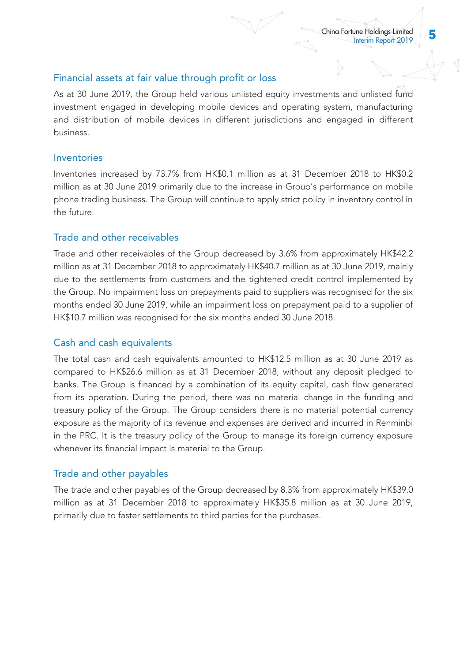# Financial assets at fair value through profit or loss

As at 30 June 2019, the Group held various unlisted equity investments and unlisted fund investment engaged in developing mobile devices and operating system, manufacturing and distribution of mobile devices in different jurisdictions and engaged in different business.

# Inventories

Inventories increased by 73.7% from HK\$0.1 million as at 31 December 2018 to HK\$0.2 million as at 30 June 2019 primarily due to the increase in Group's performance on mobile phone trading business. The Group will continue to apply strict policy in inventory control in the future.

# Trade and other receivables

Trade and other receivables of the Group decreased by 3.6% from approximately HK\$42.2 million as at 31 December 2018 to approximately HK\$40.7 million as at 30 June 2019, mainly due to the settlements from customers and the tightened credit control implemented by the Group. No impairment loss on prepayments paid to suppliers was recognised for the six months ended 30 June 2019, while an impairment loss on prepayment paid to a supplier of HK\$10.7 million was recognised for the six months ended 30 June 2018.

# Cash and cash equivalents

The total cash and cash equivalents amounted to HK\$12.5 million as at 30 June 2019 as compared to HK\$26.6 million as at 31 December 2018, without any deposit pledged to banks. The Group is financed by a combination of its equity capital, cash flow generated from its operation. During the period, there was no material change in the funding and treasury policy of the Group. The Group considers there is no material potential currency exposure as the majority of its revenue and expenses are derived and incurred in Renminbi in the PRC. It is the treasury policy of the Group to manage its foreign currency exposure whenever its financial impact is material to the Group.

# Trade and other payables

The trade and other payables of the Group decreased by 8.3% from approximately HK\$39.0 million as at 31 December 2018 to approximately HK\$35.8 million as at 30 June 2019, primarily due to faster settlements to third parties for the purchases.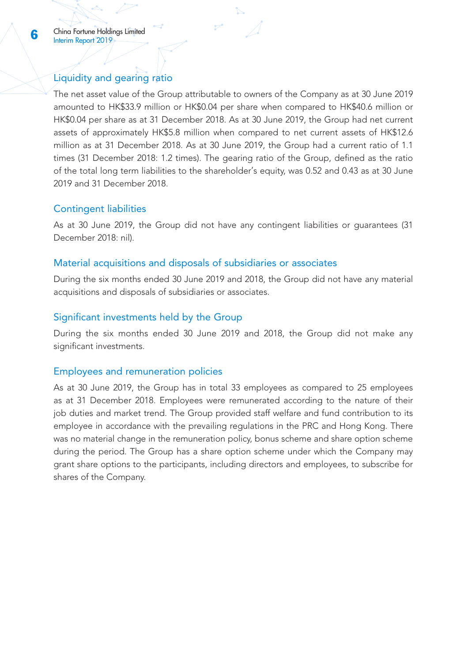# Liquidity and gearing ratio

The net asset value of the Group attributable to owners of the Company as at 30 June 2019 amounted to HK\$33.9 million or HK\$0.04 per share when compared to HK\$40.6 million or HK\$0.04 per share as at 31 December 2018. As at 30 June 2019, the Group had net current assets of approximately HK\$5.8 million when compared to net current assets of HK\$12.6 million as at 31 December 2018. As at 30 June 2019, the Group had a current ratio of 1.1 times (31 December 2018: 1.2 times). The gearing ratio of the Group, defined as the ratio of the total long term liabilities to the shareholder's equity, was 0.52 and 0.43 as at 30 June 2019 and 31 December 2018.

# Contingent liabilities

As at 30 June 2019, the Group did not have any contingent liabilities or guarantees (31 December 2018: nil).

# Material acquisitions and disposals of subsidiaries or associates

During the six months ended 30 June 2019 and 2018, the Group did not have any material acquisitions and disposals of subsidiaries or associates.

# Significant investments held by the Group

During the six months ended 30 June 2019 and 2018, the Group did not make any significant investments.

# Employees and remuneration policies

As at 30 June 2019, the Group has in total 33 employees as compared to 25 employees as at 31 December 2018. Employees were remunerated according to the nature of their job duties and market trend. The Group provided staff welfare and fund contribution to its employee in accordance with the prevailing regulations in the PRC and Hong Kong. There was no material change in the remuneration policy, bonus scheme and share option scheme during the period. The Group has a share option scheme under which the Company may grant share options to the participants, including directors and employees, to subscribe for shares of the Company.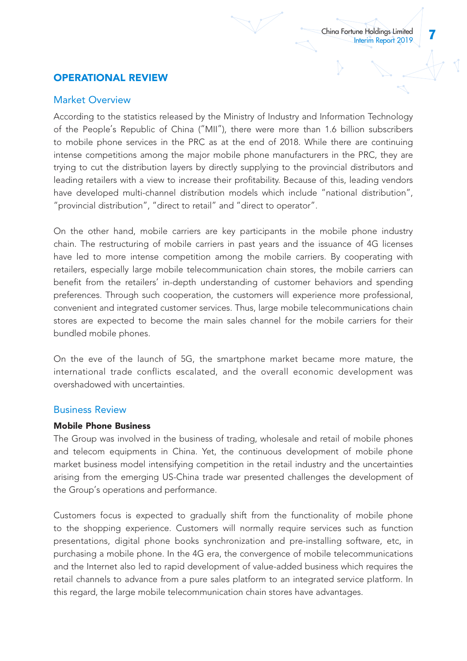# OPERATIONAL REVIEW

# Market Overview

According to the statistics released by the Ministry of Industry and Information Technology of the People's Republic of China ("MII"), there were more than 1.6 billion subscribers to mobile phone services in the PRC as at the end of 2018. While there are continuing intense competitions among the major mobile phone manufacturers in the PRC, they are trying to cut the distribution layers by directly supplying to the provincial distributors and leading retailers with a view to increase their profitability. Because of this, leading vendors have developed multi-channel distribution models which include "national distribution", "provincial distribution", "direct to retail" and "direct to operator".

On the other hand, mobile carriers are key participants in the mobile phone industry chain. The restructuring of mobile carriers in past years and the issuance of 4G licenses have led to more intense competition among the mobile carriers. By cooperating with retailers, especially large mobile telecommunication chain stores, the mobile carriers can benefit from the retailers' in-depth understanding of customer behaviors and spending preferences. Through such cooperation, the customers will experience more professional, convenient and integrated customer services. Thus, large mobile telecommunications chain stores are expected to become the main sales channel for the mobile carriers for their bundled mobile phones.

On the eve of the launch of 5G, the smartphone market became more mature, the international trade conflicts escalated, and the overall economic development was overshadowed with uncertainties.

# Business Review

# Mobile Phone Business

The Group was involved in the business of trading, wholesale and retail of mobile phones and telecom equipments in China. Yet, the continuous development of mobile phone market business model intensifying competition in the retail industry and the uncertainties arising from the emerging US-China trade war presented challenges the development of the Group's operations and performance.

Customers focus is expected to gradually shift from the functionality of mobile phone to the shopping experience. Customers will normally require services such as function presentations, digital phone books synchronization and pre-installing software, etc, in purchasing a mobile phone. In the 4G era, the convergence of mobile telecommunications and the Internet also led to rapid development of value-added business which requires the retail channels to advance from a pure sales platform to an integrated service platform. In this regard, the large mobile telecommunication chain stores have advantages.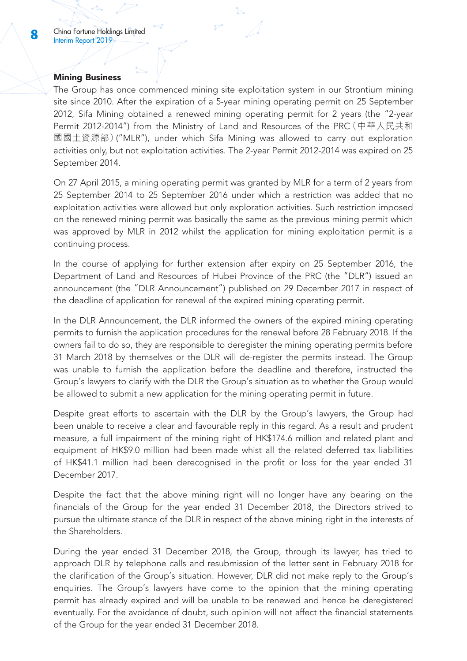### Mining Business

The Group has once commenced mining site exploitation system in our Strontium mining site since 2010. After the expiration of a 5-year mining operating permit on 25 September 2012, Sifa Mining obtained a renewed mining operating permit for 2 years (the "2-year Permit 2012-2014") from the Ministry of Land and Resources of the PRC(中華人民共和 國國土資源部)("MLR"), under which Sifa Mining was allowed to carry out exploration activities only, but not exploitation activities. The 2-year Permit 2012-2014 was expired on 25 September 2014.

On 27 April 2015, a mining operating permit was granted by MLR for a term of 2 years from 25 September 2014 to 25 September 2016 under which a restriction was added that no exploitation activities were allowed but only exploration activities. Such restriction imposed on the renewed mining permit was basically the same as the previous mining permit which was approved by MLR in 2012 whilst the application for mining exploitation permit is a continuing process.

In the course of applying for further extension after expiry on 25 September 2016, the Department of Land and Resources of Hubei Province of the PRC (the "DLR") issued an announcement (the "DLR Announcement") published on 29 December 2017 in respect of the deadline of application for renewal of the expired mining operating permit.

In the DLR Announcement, the DLR informed the owners of the expired mining operating permits to furnish the application procedures for the renewal before 28 February 2018. If the owners fail to do so, they are responsible to deregister the mining operating permits before 31 March 2018 by themselves or the DLR will de-register the permits instead. The Group was unable to furnish the application before the deadline and therefore, instructed the Group's lawyers to clarify with the DLR the Group's situation as to whether the Group would be allowed to submit a new application for the mining operating permit in future.

Despite great efforts to ascertain with the DLR by the Group's lawyers, the Group had been unable to receive a clear and favourable reply in this regard. As a result and prudent measure, a full impairment of the mining right of HK\$174.6 million and related plant and equipment of HK\$9.0 million had been made whist all the related deferred tax liabilities of HK\$41.1 million had been derecognised in the profit or loss for the year ended 31 December 2017.

Despite the fact that the above mining right will no longer have any bearing on the financials of the Group for the year ended 31 December 2018, the Directors strived to pursue the ultimate stance of the DLR in respect of the above mining right in the interests of the Shareholders.

During the year ended 31 December 2018, the Group, through its lawyer, has tried to approach DLR by telephone calls and resubmission of the letter sent in February 2018 for the clarification of the Group's situation. However, DLR did not make reply to the Group's enquiries. The Group's lawyers have come to the opinion that the mining operating permit has already expired and will be unable to be renewed and hence be deregistered eventually. For the avoidance of doubt, such opinion will not affect the financial statements of the Group for the year ended 31 December 2018.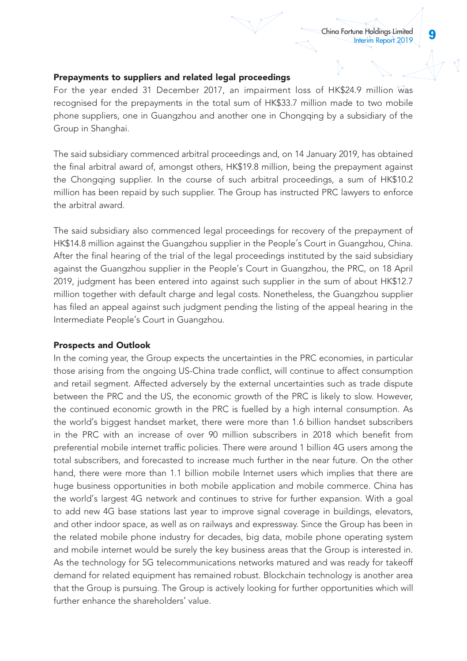### Prepayments to suppliers and related legal proceedings

For the year ended 31 December 2017, an impairment loss of HK\$24.9 million was recognised for the prepayments in the total sum of HK\$33.7 million made to two mobile phone suppliers, one in Guangzhou and another one in Chongqing by a subsidiary of the Group in Shanghai.

The said subsidiary commenced arbitral proceedings and, on 14 January 2019, has obtained the final arbitral award of, amongst others, HK\$19.8 million, being the prepayment against the Chongqing supplier. In the course of such arbitral proceedings, a sum of HK\$10.2 million has been repaid by such supplier. The Group has instructed PRC lawyers to enforce the arbitral award.

The said subsidiary also commenced legal proceedings for recovery of the prepayment of HK\$14.8 million against the Guangzhou supplier in the People's Court in Guangzhou, China. After the final hearing of the trial of the legal proceedings instituted by the said subsidiary against the Guangzhou supplier in the People's Court in Guangzhou, the PRC, on 18 April 2019, judgment has been entered into against such supplier in the sum of about HK\$12.7 million together with default charge and legal costs. Nonetheless, the Guangzhou supplier has filed an appeal against such judgment pending the listing of the appeal hearing in the Intermediate People's Court in Guangzhou.

#### Prospects and Outlook

In the coming year, the Group expects the uncertainties in the PRC economies, in particular those arising from the ongoing US-China trade conflict, will continue to affect consumption and retail segment. Affected adversely by the external uncertainties such as trade dispute between the PRC and the US, the economic growth of the PRC is likely to slow. However, the continued economic growth in the PRC is fuelled by a high internal consumption. As the world's biggest handset market, there were more than 1.6 billion handset subscribers in the PRC with an increase of over 90 million subscribers in 2018 which benefit from preferential mobile internet traffic policies. There were around 1 billion 4G users among the total subscribers, and forecasted to increase much further in the near future. On the other hand, there were more than 1.1 billion mobile Internet users which implies that there are huge business opportunities in both mobile application and mobile commerce. China has the world's largest 4G network and continues to strive for further expansion. With a goal to add new 4G base stations last year to improve signal coverage in buildings, elevators, and other indoor space, as well as on railways and expressway. Since the Group has been in the related mobile phone industry for decades, big data, mobile phone operating system and mobile internet would be surely the key business areas that the Group is interested in. As the technology for 5G telecommunications networks matured and was ready for takeoff demand for related equipment has remained robust. Blockchain technology is another area that the Group is pursuing. The Group is actively looking for further opportunities which will further enhance the shareholders' value.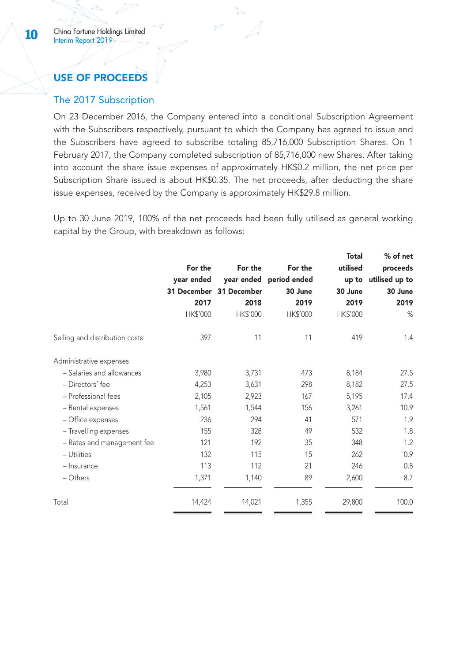# USE OF PROCEEDS

# The 2017 Subscription

On 23 December 2016, the Company entered into a conditional Subscription Agreement with the Subscribers respectively, pursuant to which the Company has agreed to issue and the Subscribers have agreed to subscribe totaling 85,716,000 Subscription Shares. On 1 February 2017, the Company completed subscription of 85,716,000 new Shares. After taking into account the share issue expenses of approximately HK\$0.2 million, the net price per Subscription Share issued is about HK\$0.35. The net proceeds, after deducting the share issue expenses, received by the Company is approximately HK\$29.8 million.

Up to 30 June 2019, 100% of the net proceeds had been fully utilised as general working capital by the Group, with breakdown as follows:

|                                |            |                         |                         | Total    | % of net       |
|--------------------------------|------------|-------------------------|-------------------------|----------|----------------|
|                                | For the    | For the                 | For the                 | utilised | proceeds       |
|                                | year ended |                         | year ended period ended | up to    | utilised up to |
|                                |            | 31 December 31 December | 30 June                 | 30 June  | 30 June        |
|                                | 2017       | 2018                    | 2019                    | 2019     | 2019           |
|                                | HK\$'000   | HK\$'000                | HK\$'000                | HK\$'000 | %              |
| Selling and distribution costs | 397        | 11                      | 11                      | 419      | 1.4            |
| Administrative expenses        |            |                         |                         |          |                |
| - Salaries and allowances      | 3,980      | 3,731                   | 473                     | 8,184    | 27.5           |
| - Directors' fee               | 4,253      | 3,631                   | 298                     | 8,182    | 27.5           |
| - Professional fees            | 2,105      | 2,923                   | 167                     | 5,195    | 17.4           |
| - Rental expenses              | 1,561      | 1,544                   | 156                     | 3,261    | 10.9           |
| - Office expenses              | 236        | 294                     | 41                      | 571      | 1.9            |
| - Travelling expenses          | 155        | 328                     | 49                      | 532      | 1.8            |
| - Rates and management fee     | 121        | 192                     | 35                      | 348      | 1.2            |
| - Utilities                    | 132        | 115                     | 15                      | 262      | 0.9            |
| - Insurance                    | 113        | 112                     | 21                      | 246      | 0.8            |
| - Others                       | 1,371      | 1,140                   | 89                      | 2,600    | 8.7            |
| Total                          | 14,424     | 14,021                  | 1,355                   | 29,800   | 100.0          |
|                                |            |                         |                         |          |                |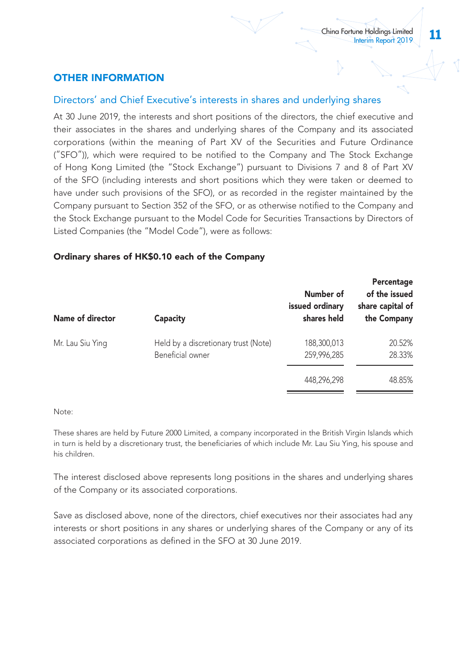# OTHER INFORMATION

# Directors' and Chief Executive's interests in shares and underlying shares

At 30 June 2019, the interests and short positions of the directors, the chief executive and their associates in the shares and underlying shares of the Company and its associated corporations (within the meaning of Part XV of the Securities and Future Ordinance ("SFO")), which were required to be notified to the Company and The Stock Exchange of Hong Kong Limited (the "Stock Exchange") pursuant to Divisions 7 and 8 of Part XV of the SFO (including interests and short positions which they were taken or deemed to have under such provisions of the SFO), or as recorded in the register maintained by the Company pursuant to Section 352 of the SFO, or as otherwise notified to the Company and the Stock Exchange pursuant to the Model Code for Securities Transactions by Directors of Listed Companies (the "Model Code"), were as follows:

# Ordinary shares of HK\$0.10 each of the Company

| Name of director | Capacity                                                 | Number of<br>issued ordinary<br>shares held | Percentage<br>of the issued<br>share capital of<br>the Company |
|------------------|----------------------------------------------------------|---------------------------------------------|----------------------------------------------------------------|
| Mr. Lau Siu Ying | Held by a discretionary trust (Note)<br>Beneficial owner | 188,300,013<br>259,996,285                  | 20.52%<br>28.33%                                               |
|                  |                                                          | 448.296.298                                 | 48.85%                                                         |

#### Note:

These shares are held by Future 2000 Limited, a company incorporated in the British Virgin Islands which in turn is held by a discretionary trust, the beneficiaries of which include Mr. Lau Siu Ying, his spouse and his children.

The interest disclosed above represents long positions in the shares and underlying shares of the Company or its associated corporations.

Save as disclosed above, none of the directors, chief executives nor their associates had any interests or short positions in any shares or underlying shares of the Company or any of its associated corporations as defined in the SFO at 30 June 2019.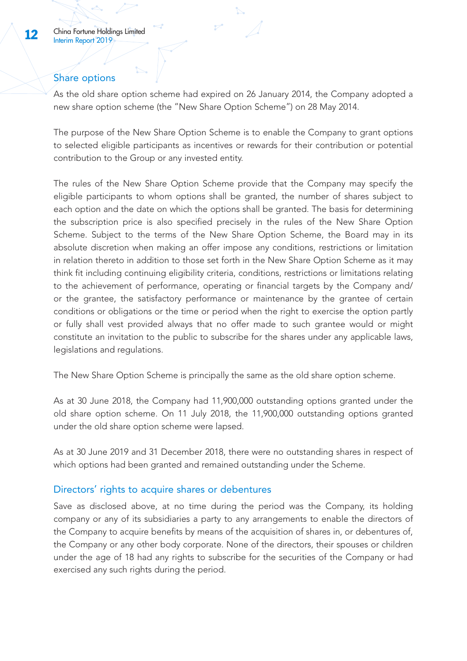# Share options

As the old share option scheme had expired on 26 January 2014, the Company adopted a new share option scheme (the "New Share Option Scheme") on 28 May 2014.

The purpose of the New Share Option Scheme is to enable the Company to grant options to selected eligible participants as incentives or rewards for their contribution or potential contribution to the Group or any invested entity.

The rules of the New Share Option Scheme provide that the Company may specify the eligible participants to whom options shall be granted, the number of shares subject to each option and the date on which the options shall be granted. The basis for determining the subscription price is also specified precisely in the rules of the New Share Option Scheme. Subject to the terms of the New Share Option Scheme, the Board may in its absolute discretion when making an offer impose any conditions, restrictions or limitation in relation thereto in addition to those set forth in the New Share Option Scheme as it may think fit including continuing eligibility criteria, conditions, restrictions or limitations relating to the achievement of performance, operating or financial targets by the Company and/ or the grantee, the satisfactory performance or maintenance by the grantee of certain conditions or obligations or the time or period when the right to exercise the option partly or fully shall vest provided always that no offer made to such grantee would or might constitute an invitation to the public to subscribe for the shares under any applicable laws, legislations and regulations.

The New Share Option Scheme is principally the same as the old share option scheme.

As at 30 June 2018, the Company had 11,900,000 outstanding options granted under the old share option scheme. On 11 July 2018, the 11,900,000 outstanding options granted under the old share option scheme were lapsed.

As at 30 June 2019 and 31 December 2018, there were no outstanding shares in respect of which options had been granted and remained outstanding under the Scheme.

# Directors' rights to acquire shares or debentures

Save as disclosed above, at no time during the period was the Company, its holding company or any of its subsidiaries a party to any arrangements to enable the directors of the Company to acquire benefits by means of the acquisition of shares in, or debentures of, the Company or any other body corporate. None of the directors, their spouses or children under the age of 18 had any rights to subscribe for the securities of the Company or had exercised any such rights during the period.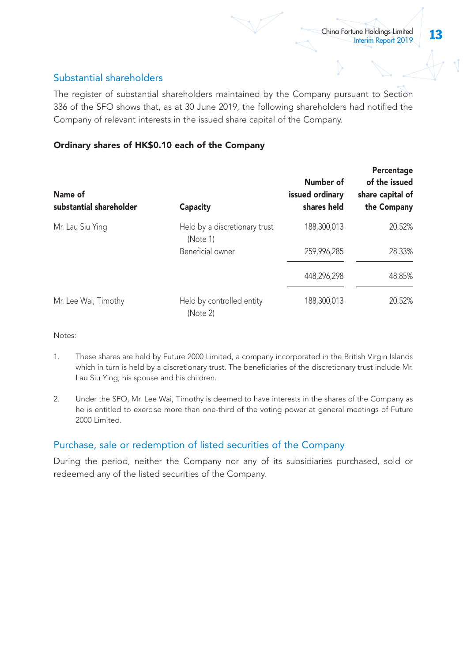# Substantial shareholders

The register of substantial shareholders maintained by the Company pursuant to Section 336 of the SFO shows that, as at 30 June 2019, the following shareholders had notified the Company of relevant interests in the issued share capital of the Company.

# Ordinary shares of HK\$0.10 each of the Company

| Name of<br>substantial shareholder | Capacity                                  | Number of<br>issued ordinary<br>shares held | Percentage<br>of the issued<br>share capital of<br>the Company |
|------------------------------------|-------------------------------------------|---------------------------------------------|----------------------------------------------------------------|
| Mr. Lau Siu Ying                   | Held by a discretionary trust<br>(Note 1) | 188.300.013                                 | 20.52%                                                         |
|                                    | Beneficial owner                          | 259.996.285                                 | 28.33%                                                         |
|                                    |                                           | 448.296.298                                 | 48.85%                                                         |
| Mr. Lee Wai, Timothy               | Held by controlled entity<br>(Note 2)     | 188,300,013                                 | 20.52%                                                         |

Notes:

- 1. These shares are held by Future 2000 Limited, a company incorporated in the British Virgin Islands which in turn is held by a discretionary trust. The beneficiaries of the discretionary trust include Mr. Lau Siu Ying, his spouse and his children.
- 2. Under the SFO, Mr. Lee Wai, Timothy is deemed to have interests in the shares of the Company as he is entitled to exercise more than one-third of the voting power at general meetings of Future 2000 Limited.

# Purchase, sale or redemption of listed securities of the Company

During the period, neither the Company nor any of its subsidiaries purchased, sold or redeemed any of the listed securities of the Company.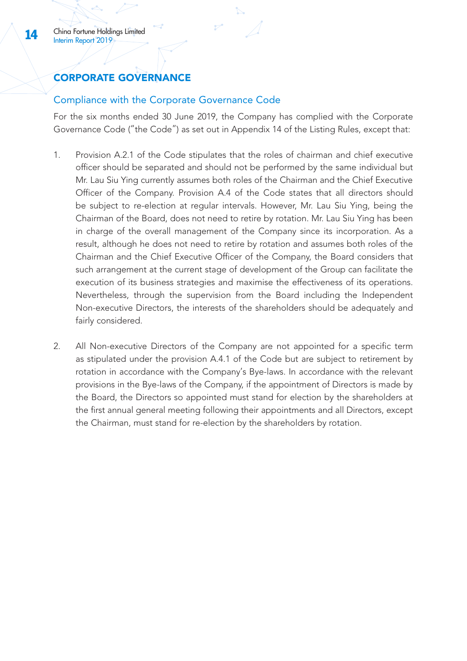# CORPORATE GOVERNANCE

# Compliance with the Corporate Governance Code

For the six months ended 30 June 2019, the Company has complied with the Corporate Governance Code ("the Code") as set out in Appendix 14 of the Listing Rules, except that:

- 1. Provision A.2.1 of the Code stipulates that the roles of chairman and chief executive officer should be separated and should not be performed by the same individual but Mr. Lau Siu Ying currently assumes both roles of the Chairman and the Chief Executive Officer of the Company. Provision A.4 of the Code states that all directors should be subject to re-election at regular intervals. However, Mr. Lau Siu Ying, being the Chairman of the Board, does not need to retire by rotation. Mr. Lau Siu Ying has been in charge of the overall management of the Company since its incorporation. As a result, although he does not need to retire by rotation and assumes both roles of the Chairman and the Chief Executive Officer of the Company, the Board considers that such arrangement at the current stage of development of the Group can facilitate the execution of its business strategies and maximise the effectiveness of its operations. Nevertheless, through the supervision from the Board including the Independent Non-executive Directors, the interests of the shareholders should be adequately and fairly considered.
- 2. All Non-executive Directors of the Company are not appointed for a specific term as stipulated under the provision A.4.1 of the Code but are subject to retirement by rotation in accordance with the Company's Bye-laws. In accordance with the relevant provisions in the Bye-laws of the Company, if the appointment of Directors is made by the Board, the Directors so appointed must stand for election by the shareholders at the first annual general meeting following their appointments and all Directors, except the Chairman, must stand for re-election by the shareholders by rotation.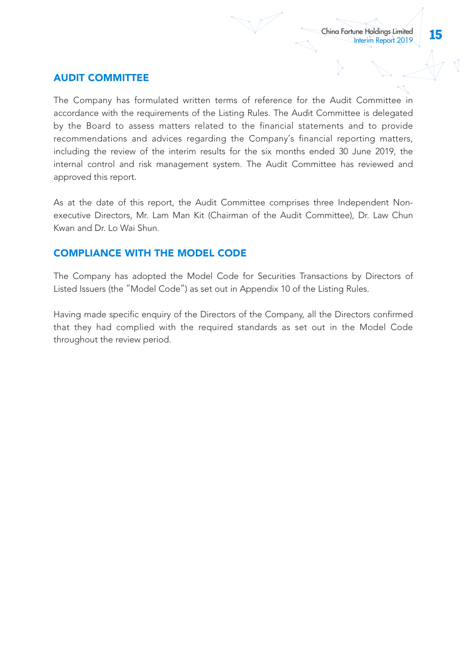# AUDIT COMMITTEE

The Company has formulated written terms of reference for the Audit Committee in accordance with the requirements of the Listing Rules. The Audit Committee is delegated by the Board to assess matters related to the financial statements and to provide recommendations and advices regarding the Company's financial reporting matters, including the review of the interim results for the six months ended 30 June 2019, the internal control and risk management system. The Audit Committee has reviewed and approved this report.

As at the date of this report, the Audit Committee comprises three Independent Nonexecutive Directors, Mr. Lam Man Kit (Chairman of the Audit Committee), Dr. Law Chun Kwan and Dr. Lo Wai Shun.

# COMPLIANCE WITH THE MODEL CODE

The Company has adopted the Model Code for Securities Transactions by Directors of Listed Issuers (the "Model Code") as set out in Appendix 10 of the Listing Rules.

Having made specific enquiry of the Directors of the Company, all the Directors confirmed that they had complied with the required standards as set out in the Model Code throughout the review period.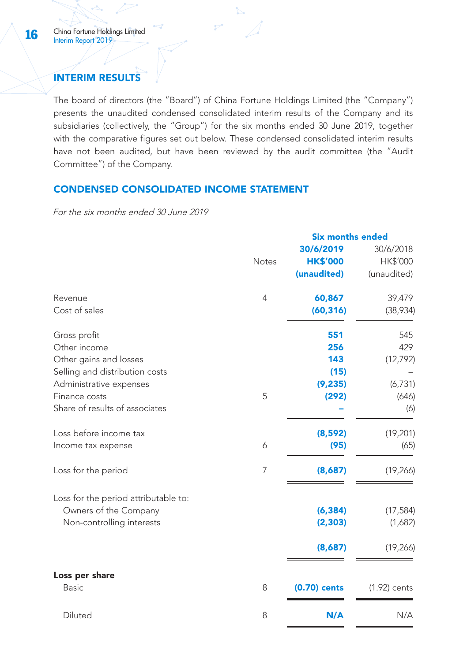# INTERIM RESULTS

The board of directors (the "Board") of China Fortune Holdings Limited (the "Company") presents the unaudited condensed consolidated interim results of the Company and its subsidiaries (collectively, the "Group") for the six months ended 30 June 2019, together with the comparative figures set out below. These condensed consolidated interim results have not been audited, but have been reviewed by the audit committee (the "Audit Committee") of the Company.

# CONDENSED CONSOLIDATED INCOME STATEMENT

For the six months ended 30 June 2019

|                                      | <b>Six months ended</b> |                 |                |
|--------------------------------------|-------------------------|-----------------|----------------|
|                                      |                         | 30/6/2019       | 30/6/2018      |
|                                      | <b>Notes</b>            | <b>HK\$'000</b> | HK\$'000       |
|                                      |                         | (unaudited)     | (unaudited)    |
| Revenue                              | $\overline{4}$          | 60,867          | 39,479         |
| Cost of sales                        |                         | (60, 316)       | (38,934)       |
| Gross profit                         |                         | 551             | 545            |
| Other income                         |                         | 256             | 429            |
| Other gains and losses               |                         | 143             | (12, 792)      |
| Selling and distribution costs       |                         | (15)            |                |
| Administrative expenses              |                         | (9, 235)        | (6, 731)       |
| Finance costs                        | 5                       | (292)           | (646)          |
| Share of results of associates       |                         |                 | (6)            |
| Loss before income tax               |                         | (8,592)         | (19, 201)      |
| Income tax expense                   | 6                       | (95)            | (65)           |
| Loss for the period                  | 7                       | (8,687)         | (19, 266)      |
| Loss for the period attributable to: |                         |                 |                |
| Owners of the Company                |                         | (6, 384)        | (17, 584)      |
| Non-controlling interests            |                         | (2, 303)        | (1,682)        |
|                                      |                         | (8,687)         | (19, 266)      |
| Loss per share                       |                         |                 |                |
| <b>Basic</b>                         | 8                       | $(0.70)$ cents  | $(1.92)$ cents |
| Diluted                              | 8                       | N/A             | N/A            |
|                                      |                         |                 |                |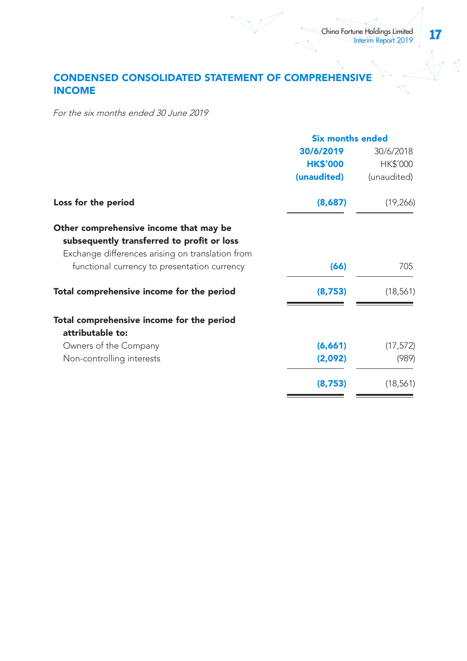# CONDENSED CONSOLIDATED STATEMENT OF COMPREHENSIVE INCOME

For the six months ended 30 June 2019

|                                                  | <b>Six months ended</b> |             |  |
|--------------------------------------------------|-------------------------|-------------|--|
|                                                  | 30/6/2019               | 30/6/2018   |  |
|                                                  | <b>HK\$'000</b>         | HK\$'000    |  |
|                                                  | (unaudited)             | (unaudited) |  |
| Loss for the period                              | (8,687)                 | (19,266)    |  |
| Other comprehensive income that may be           |                         |             |  |
| subsequently transferred to profit or loss       |                         |             |  |
| Exchange differences arising on translation from |                         |             |  |
| functional currency to presentation currency     | (66)                    | 705         |  |
| Total comprehensive income for the period        | (8,753)                 | (18, 561)   |  |
| Total comprehensive income for the period        |                         |             |  |
| attributable to:                                 |                         |             |  |
| Owners of the Company                            | (6,661)                 | (17, 572)   |  |
| Non-controlling interests                        | (2,092)                 | (989)       |  |
|                                                  | (8,753)                 | (18, 561)   |  |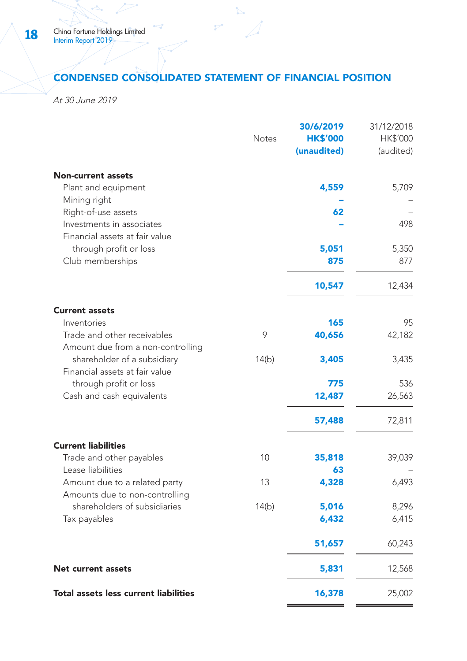# CONDENSED CONSOLIDATED STATEMENT OF FINANCIAL POSITION

ż

At 30 June 2019

|                                                                                    | Notes | 30/6/2019<br><b>HK\$'000</b><br>(unaudited) | 31/12/2018<br>HK\$'000<br>(audited) |
|------------------------------------------------------------------------------------|-------|---------------------------------------------|-------------------------------------|
| <b>Non-current assets</b><br>Plant and equipment<br>Mining right                   |       | 4,559                                       | 5,709                               |
| Right-of-use assets<br>Investments in associates<br>Financial assets at fair value |       | 62                                          | 498                                 |
| through profit or loss<br>Club memberships                                         |       | 5,051<br>875                                | 5,350<br>877                        |
|                                                                                    |       | 10,547                                      | 12,434                              |
| <b>Current assets</b><br>Inventories                                               |       | 165                                         | 95                                  |
| Trade and other receivables<br>Amount due from a non-controlling                   | 9     | 40,656                                      | 42,182                              |
| shareholder of a subsidiary<br>Financial assets at fair value                      | 14(b) | 3,405                                       | 3,435                               |
| through profit or loss<br>Cash and cash equivalents                                |       | 775<br>12,487                               | 536<br>26,563                       |
|                                                                                    |       | 57,488                                      | 72,811                              |
| <b>Current liabilities</b><br>Trade and other payables                             | 10    | 35,818                                      | 39,039                              |
| Lease liabilities<br>Amount due to a related party                                 | 13    | 63<br>4,328                                 | 6,493                               |
| Amounts due to non-controlling<br>shareholders of subsidiaries<br>Tax payables     | 14(b) | 5,016<br>6,432                              | 8,296<br>6,415                      |
|                                                                                    |       | 51,657                                      | 60,243                              |
| <b>Net current assets</b>                                                          |       | 5,831                                       | 12,568                              |
| Total assets less current liabilities                                              |       | 16,378                                      | 25,002                              |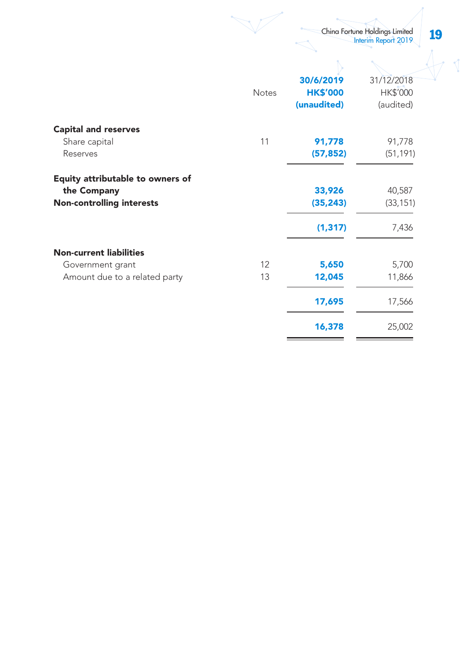|                                  |              |                 | China Fortune Holdings Limited<br>Interim Report 2019 | 19 |  |
|----------------------------------|--------------|-----------------|-------------------------------------------------------|----|--|
|                                  |              |                 |                                                       |    |  |
|                                  |              | 30/6/2019       | 31/12/2018                                            |    |  |
|                                  | <b>Notes</b> | <b>HK\$'000</b> | HK\$'000                                              |    |  |
|                                  |              | (unaudited)     | (audited)                                             |    |  |
| <b>Capital and reserves</b>      |              |                 |                                                       |    |  |
| Share capital                    | 11           | 91,778          | 91,778                                                |    |  |
| Reserves                         |              | (57, 852)       | (51, 191)                                             |    |  |
| Equity attributable to owners of |              |                 |                                                       |    |  |
| the Company                      |              | 33,926          | 40,587                                                |    |  |
| <b>Non-controlling interests</b> |              | (35, 243)       | (33, 151)                                             |    |  |
|                                  |              | (1, 317)        | 7,436                                                 |    |  |
| <b>Non-current liabilities</b>   |              |                 |                                                       |    |  |
| Government grant                 | 12           | 5,650           | 5,700                                                 |    |  |
| Amount due to a related party    | 13           | 12,045          | 11,866                                                |    |  |
|                                  |              | 17,695          | 17,566                                                |    |  |
|                                  |              | 16,378          | 25,002                                                |    |  |

 $\equiv$ 

٠

 $\qquad \qquad \overbrace{\qquad \qquad }^{}$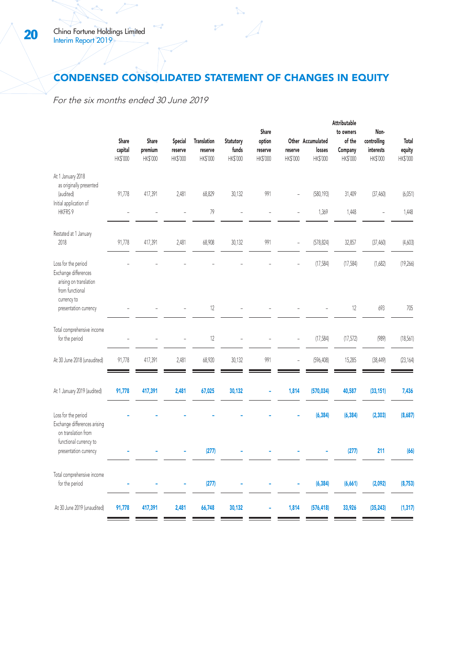# CONDENSED CONSOLIDATED STATEMENT OF CHANGES IN EQUITY

For the six months ended 30 June 2019

|                                                                                                | Share<br>capital<br>HK\$'000 | Share<br>premium<br>HK\$'000 | Special<br>reserve<br>HK\$'000 | <b>Translation</b><br>reserve<br>HK\$'000 | Statutory<br>funds<br>HK\$'000 | Share<br>option<br>reserve<br>HK\$'000 | reserve<br>HK\$'000 | Other Accumulated<br>losses<br>HK\$'000 | Attributable<br>to owners<br>of the<br>Company<br>HK\$'000 | Non-<br>controlling<br>interests<br>HK\$'000 | Total<br>equity<br>HK\$'000 |
|------------------------------------------------------------------------------------------------|------------------------------|------------------------------|--------------------------------|-------------------------------------------|--------------------------------|----------------------------------------|---------------------|-----------------------------------------|------------------------------------------------------------|----------------------------------------------|-----------------------------|
| At 1 January 2018<br>as originally presented<br>(audited)<br>Initial application of<br>HKFRS 9 | 91,778                       | 417,391                      | 2,481<br>L,                    | 68,829<br>79                              | 30,132<br>J.                   | 991                                    |                     | (580, 193)<br>1,369                     | 31,409<br>1,448                                            | (37, 460)<br>J.                              | (6,051)<br>1,448            |
| Restated at 1 January<br>2018                                                                  | 91,778                       | 417,391                      | 2,481                          | 68,908                                    | 30,132                         | 991                                    | J.                  | (578, 824)                              | 32,857                                                     | (37, 460)                                    | (4,603)                     |
| Loss for the period<br>Exchange differences<br>arising on translation<br>from functional       |                              |                              |                                |                                           |                                |                                        |                     | (17, 584)                               | (17, 584)                                                  | (1,682)                                      | (19,266)                    |
| currency to<br>presentation currency                                                           |                              |                              |                                | 12                                        |                                |                                        |                     |                                         | 12                                                         | 693                                          | 705                         |
| Total comprehensive income<br>for the period                                                   |                              |                              |                                | 12                                        |                                |                                        |                     | (17, 584)                               | (17, 572)                                                  | (989)                                        | (18, 561)                   |
| At 30 June 2018 (unaudited)                                                                    | 91,778                       | 417,391                      | 2,481                          | 68,920                                    | 30,132                         | 991                                    |                     | (596, 408)                              | 15,285                                                     | (38, 449)                                    | (23, 164)                   |
| At 1 January 2019 (audited)                                                                    | 91,778                       | 417,391                      | 2,481                          | 67,025                                    | 30,132                         |                                        | 1,814               | (570, 034)                              | 40,587                                                     | (33, 151)                                    | 7,436                       |
| Loss for the period<br>Exchange differences arising<br>on translation from                     |                              |                              |                                |                                           |                                |                                        |                     | (6, 384)                                | (6, 384)                                                   | (2, 303)                                     | (8,687)                     |
| functional currency to<br>presentation currency                                                |                              |                              |                                | (277)                                     |                                |                                        |                     |                                         | (277)                                                      | 211                                          | (66)                        |
| Total comprehensive income<br>for the period                                                   |                              |                              |                                | (277)                                     |                                |                                        | Ē,                  | (6, 384)                                | (6,661)                                                    | (2,092)                                      | (8, 753)                    |
| At 30 June 2019 (unaudited)                                                                    | 91,778                       | 417,391                      | 2,481                          | 66,748                                    | 30,132                         |                                        | 1,814               | (576, 418)                              | 33,926                                                     | (35, 243)                                    | (1, 317)                    |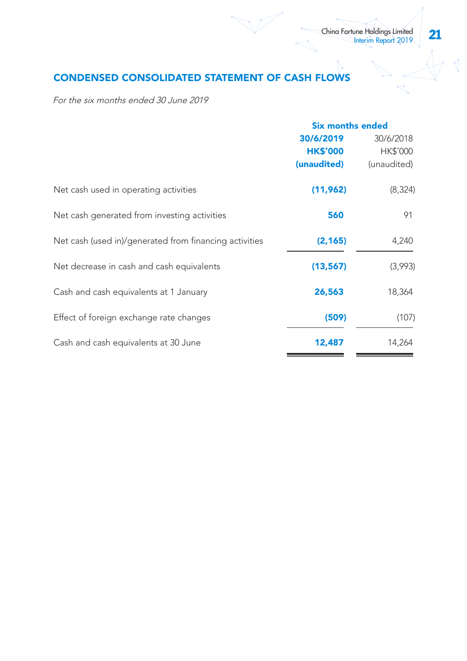# CONDENSED CONSOLIDATED STATEMENT OF CASH FLOWS

For the six months ended 30 June 2019

|                                                        | <b>Six months ended</b> |             |  |
|--------------------------------------------------------|-------------------------|-------------|--|
|                                                        | 30/6/2019               | 30/6/2018   |  |
|                                                        | <b>HK\$'000</b>         | HK\$'000    |  |
|                                                        | (unaudited)             | (unaudited) |  |
| Net cash used in operating activities                  | (11,962)                | (8,324)     |  |
| Net cash generated from investing activities           | 560                     | 91          |  |
| Net cash (used in)/generated from financing activities | (2, 165)                | 4,240       |  |
| Net decrease in cash and cash equivalents              | (13,567)                | (3,993)     |  |
| Cash and cash equivalents at 1 January                 | 26,563                  | 18,364      |  |
| Effect of foreign exchange rate changes                | (509)                   | (107)       |  |
| Cash and cash equivalents at 30 June                   | 12,487                  | 14,264      |  |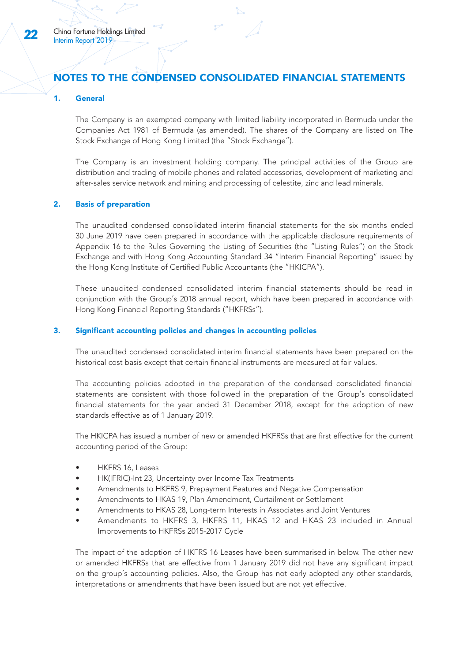# NOTES TO THE CONDENSED CONSOLIDATED FINANCIAL STATEMENTS

#### 1. General

The Company is an exempted company with limited liability incorporated in Bermuda under the Companies Act 1981 of Bermuda (as amended). The shares of the Company are listed on The Stock Exchange of Hong Kong Limited (the "Stock Exchange").

The Company is an investment holding company. The principal activities of the Group are distribution and trading of mobile phones and related accessories, development of marketing and after-sales service network and mining and processing of celestite, zinc and lead minerals.

#### 2. Basis of preparation

The unaudited condensed consolidated interim financial statements for the six months ended 30 June 2019 have been prepared in accordance with the applicable disclosure requirements of Appendix 16 to the Rules Governing the Listing of Securities (the "Listing Rules") on the Stock Exchange and with Hong Kong Accounting Standard 34 "Interim Financial Reporting" issued by the Hong Kong Institute of Certified Public Accountants (the "HKICPA").

These unaudited condensed consolidated interim financial statements should be read in conjunction with the Group's 2018 annual report, which have been prepared in accordance with Hong Kong Financial Reporting Standards ("HKFRSs").

#### 3. Significant accounting policies and changes in accounting policies

The unaudited condensed consolidated interim financial statements have been prepared on the historical cost basis except that certain financial instruments are measured at fair values.

The accounting policies adopted in the preparation of the condensed consolidated financial statements are consistent with those followed in the preparation of the Group's consolidated financial statements for the year ended 31 December 2018, except for the adoption of new standards effective as of 1 January 2019.

The HKICPA has issued a number of new or amended HKFRSs that are first effective for the current accounting period of the Group:

- HKFRS 16, Leases
- HK(IFRIC)-Int 23, Uncertainty over Income Tax Treatments
- Amendments to HKFRS 9, Prepayment Features and Negative Compensation
- Amendments to HKAS 19, Plan Amendment, Curtailment or Settlement
- Amendments to HKAS 28, Long-term Interests in Associates and Joint Ventures
- Amendments to HKFRS 3, HKFRS 11, HKAS 12 and HKAS 23 included in Annual Improvements to HKFRSs 2015-2017 Cycle

The impact of the adoption of HKFRS 16 Leases have been summarised in below. The other new or amended HKFRSs that are effective from 1 January 2019 did not have any significant impact on the group's accounting policies. Also, the Group has not early adopted any other standards, interpretations or amendments that have been issued but are not yet effective.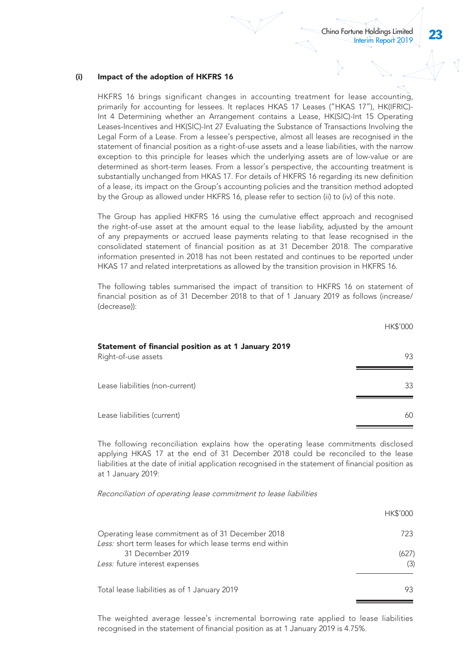# (i) Impact of the adoption of HKFRS 16

HKFRS 16 brings significant changes in accounting treatment for lease accounting, primarily for accounting for lessees. It replaces HKAS 17 Leases ("HKAS 17"), HK(IFRIC)- Int 4 Determining whether an Arrangement contains a Lease, HK(SIC)-Int 15 Operating Leases-Incentives and HK(SIC)-Int 27 Evaluating the Substance of Transactions Involving the Legal Form of a Lease. From a lessee's perspective, almost all leases are recognised in the statement of financial position as a right-of-use assets and a lease liabilities, with the narrow exception to this principle for leases which the underlying assets are of low-value or are determined as short-term leases. From a lessor's perspective, the accounting treatment is substantially unchanged from HKAS 17. For details of HKFRS 16 regarding its new definition of a lease, its impact on the Group's accounting policies and the transition method adopted by the Group as allowed under HKFRS 16, please refer to section (ii) to (iv) of this note.

The Group has applied HKFRS 16 using the cumulative effect approach and recognised the right-of-use asset at the amount equal to the lease liability, adjusted by the amount of any prepayments or accrued lease payments relating to that lease recognised in the consolidated statement of financial position as at 31 December 2018. The comparative information presented in 2018 has not been restated and continues to be reported under HKAS 17 and related interpretations as allowed by the transition provision in HKFRS 16.

The following tables summarised the impact of transition to HKFRS 16 on statement of financial position as of 31 December 2018 to that of 1 January 2019 as follows (increase/ (decrease)):

|                                                                             | HK\$'000 |
|-----------------------------------------------------------------------------|----------|
| Statement of financial position as at 1 January 2019<br>Right-of-use assets | 93       |
| Lease liabilities (non-current)                                             | 33       |
| Lease liabilities (current)                                                 | 60       |

The following reconciliation explains how the operating lease commitments disclosed applying HKAS 17 at the end of 31 December 2018 could be reconciled to the lease liabilities at the date of initial application recognised in the statement of financial position as at 1 January 2019:

Reconciliation of operating lease commitment to lease liabilities

|                                                                                                               | <b>HK\$'000</b> |
|---------------------------------------------------------------------------------------------------------------|-----------------|
| Operating lease commitment as of 31 December 2018<br>Less: short term leases for which lease terms end within | 723             |
| 31 December 2019<br>Less: future interest expenses                                                            | (627)<br>(3)    |
| Total lease liabilities as of 1 January 2019                                                                  | 93              |

The weighted average lessee's incremental borrowing rate applied to lease liabilities recognised in the statement of financial position as at 1 January 2019 is 4.75%.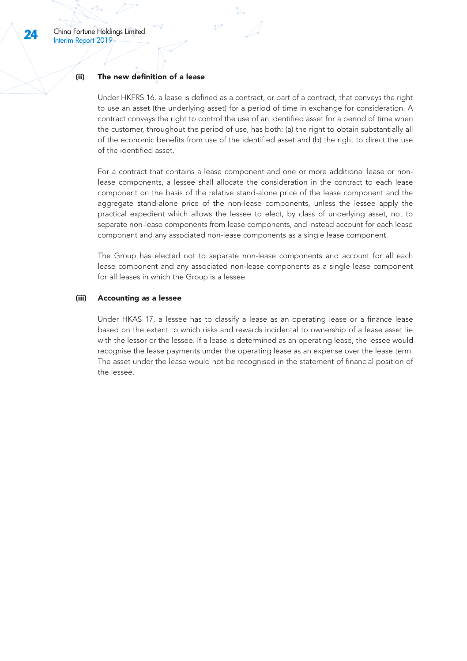#### (ii) The new definition of a lease

Under HKFRS 16, a lease is defined as a contract, or part of a contract, that conveys the right to use an asset (the underlying asset) for a period of time in exchange for consideration. A contract conveys the right to control the use of an identified asset for a period of time when the customer, throughout the period of use, has both: (a) the right to obtain substantially all of the economic benefits from use of the identified asset and (b) the right to direct the use of the identified asset.

For a contract that contains a lease component and one or more additional lease or nonlease components, a lessee shall allocate the consideration in the contract to each lease component on the basis of the relative stand-alone price of the lease component and the aggregate stand-alone price of the non-lease components, unless the lessee apply the practical expedient which allows the lessee to elect, by class of underlying asset, not to separate non-lease components from lease components, and instead account for each lease component and any associated non-lease components as a single lease component.

The Group has elected not to separate non-lease components and account for all each lease component and any associated non-lease components as a single lease component for all leases in which the Group is a lessee.

#### (iii) Accounting as a lessee

Under HKAS 17, a lessee has to classify a lease as an operating lease or a finance lease based on the extent to which risks and rewards incidental to ownership of a lease asset lie with the lessor or the lessee. If a lease is determined as an operating lease, the lessee would recognise the lease payments under the operating lease as an expense over the lease term. The asset under the lease would not be recognised in the statement of financial position of the lessee.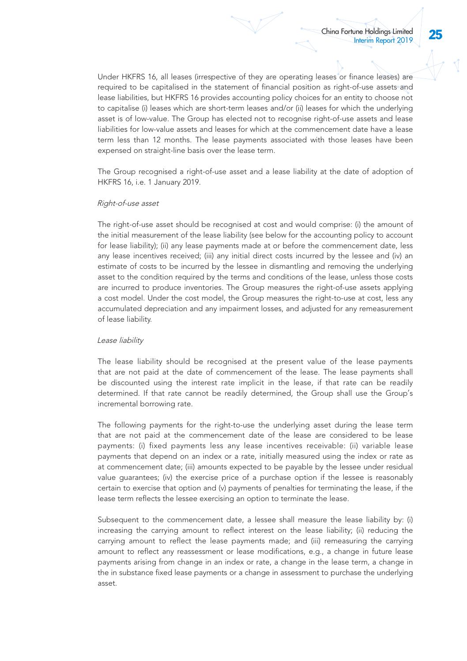Under HKFRS 16, all leases (irrespective of they are operating leases or finance leases) are required to be capitalised in the statement of financial position as right-of-use assets and lease liabilities, but HKFRS 16 provides accounting policy choices for an entity to choose not to capitalise (i) leases which are short-term leases and/or (ii) leases for which the underlying asset is of low-value. The Group has elected not to recognise right-of-use assets and lease liabilities for low-value assets and leases for which at the commencement date have a lease term less than 12 months. The lease payments associated with those leases have been expensed on straight-line basis over the lease term.

The Group recognised a right-of-use asset and a lease liability at the date of adoption of HKFRS 16, i.e. 1 January 2019.

#### Right-of-use asset

The right-of-use asset should be recognised at cost and would comprise: (i) the amount of the initial measurement of the lease liability (see below for the accounting policy to account for lease liability); (ii) any lease payments made at or before the commencement date, less any lease incentives received; (iii) any initial direct costs incurred by the lessee and (iv) an estimate of costs to be incurred by the lessee in dismantling and removing the underlying asset to the condition required by the terms and conditions of the lease, unless those costs are incurred to produce inventories. The Group measures the right-of-use assets applying a cost model. Under the cost model, the Group measures the right-to-use at cost, less any accumulated depreciation and any impairment losses, and adjusted for any remeasurement of lease liability.

#### Lease liability

The lease liability should be recognised at the present value of the lease payments that are not paid at the date of commencement of the lease. The lease payments shall be discounted using the interest rate implicit in the lease, if that rate can be readily determined. If that rate cannot be readily determined, the Group shall use the Group's incremental borrowing rate.

The following payments for the right-to-use the underlying asset during the lease term that are not paid at the commencement date of the lease are considered to be lease payments: (i) fixed payments less any lease incentives receivable: (ii) variable lease payments that depend on an index or a rate, initially measured using the index or rate as at commencement date; (iii) amounts expected to be payable by the lessee under residual value guarantees; (iv) the exercise price of a purchase option if the lessee is reasonably certain to exercise that option and (v) payments of penalties for terminating the lease, if the lease term reflects the lessee exercising an option to terminate the lease.

Subsequent to the commencement date, a lessee shall measure the lease liability by: (i) increasing the carrying amount to reflect interest on the lease liability; (ii) reducing the carrying amount to reflect the lease payments made; and (iii) remeasuring the carrying amount to reflect any reassessment or lease modifications, e.g., a change in future lease payments arising from change in an index or rate, a change in the lease term, a change in the in substance fixed lease payments or a change in assessment to purchase the underlying asset.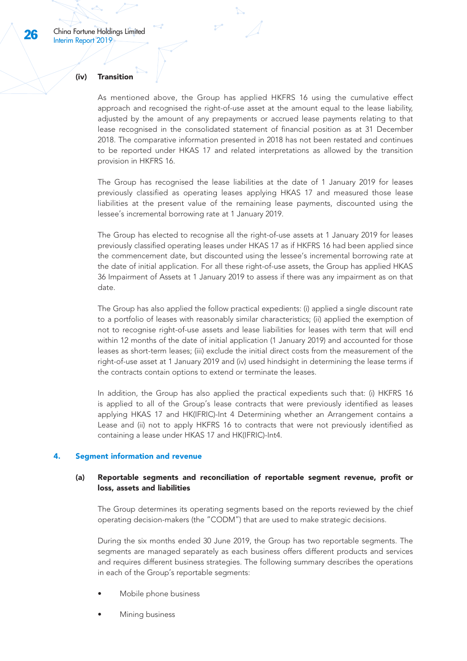#### (iv) Transition

As mentioned above, the Group has applied HKFRS 16 using the cumulative effect approach and recognised the right-of-use asset at the amount equal to the lease liability, adjusted by the amount of any prepayments or accrued lease payments relating to that lease recognised in the consolidated statement of financial position as at 31 December 2018. The comparative information presented in 2018 has not been restated and continues to be reported under HKAS 17 and related interpretations as allowed by the transition provision in HKFRS 16.

The Group has recognised the lease liabilities at the date of 1 January 2019 for leases previously classified as operating leases applying HKAS 17 and measured those lease liabilities at the present value of the remaining lease payments, discounted using the lessee's incremental borrowing rate at 1 January 2019.

The Group has elected to recognise all the right-of-use assets at 1 January 2019 for leases previously classified operating leases under HKAS 17 as if HKFRS 16 had been applied since the commencement date, but discounted using the lessee's incremental borrowing rate at the date of initial application. For all these right-of-use assets, the Group has applied HKAS 36 Impairment of Assets at 1 January 2019 to assess if there was any impairment as on that date.

The Group has also applied the follow practical expedients: (i) applied a single discount rate to a portfolio of leases with reasonably similar characteristics; (ii) applied the exemption of not to recognise right-of-use assets and lease liabilities for leases with term that will end within 12 months of the date of initial application (1 January 2019) and accounted for those leases as short-term leases; (iii) exclude the initial direct costs from the measurement of the right-of-use asset at 1 January 2019 and (iv) used hindsight in determining the lease terms if the contracts contain options to extend or terminate the leases.

In addition, the Group has also applied the practical expedients such that: (i) HKFRS 16 is applied to all of the Group's lease contracts that were previously identified as leases applying HKAS 17 and HK(IFRIC)-Int 4 Determining whether an Arrangement contains a Lease and (ii) not to apply HKFRS 16 to contracts that were not previously identified as containing a lease under HKAS 17 and HK(IFRIC)-Int4.

#### Segment information and revenue

#### (a) Reportable segments and reconciliation of reportable segment revenue, profit or loss, assets and liabilities

The Group determines its operating segments based on the reports reviewed by the chief operating decision-makers (the "CODM") that are used to make strategic decisions.

During the six months ended 30 June 2019, the Group has two reportable segments. The segments are managed separately as each business offers different products and services and requires different business strategies. The following summary describes the operations in each of the Group's reportable segments:

- Mobile phone business
- Mining business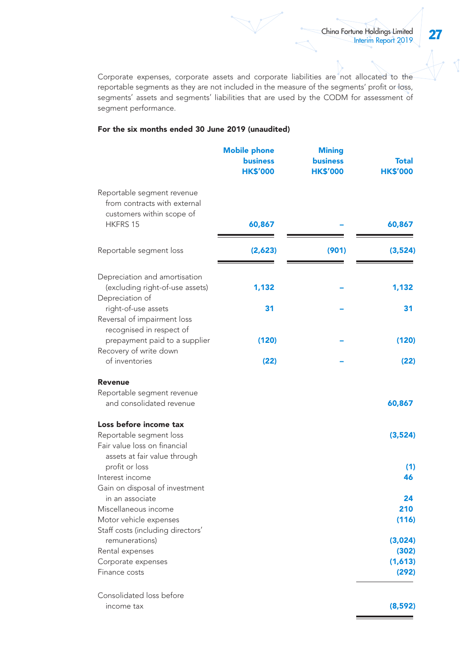Corporate expenses, corporate assets and corporate liabilities are not allocated to the reportable segments as they are not included in the measure of the segments' profit or loss, segments' assets and segments' liabilities that are used by the CODM for assessment of segment performance.

### For the six months ended 30 June 2019 (unaudited)

|                                                                                                     | <b>Mobile phone</b><br><b>business</b><br><b>HK\$'000</b> | <b>Mining</b><br><b>business</b><br><b>HK\$'000</b> | Total<br><b>HK\$'000</b> |
|-----------------------------------------------------------------------------------------------------|-----------------------------------------------------------|-----------------------------------------------------|--------------------------|
| Reportable segment revenue<br>from contracts with external<br>customers within scope of<br>HKFRS 15 | 60,867                                                    |                                                     | 60,867                   |
| Reportable segment loss                                                                             | (2,623)                                                   | (901)                                               | (3,524)                  |
| Depreciation and amortisation<br>(excluding right-of-use assets)<br>Depreciation of                 | 1,132                                                     |                                                     | 1,132                    |
| right-of-use assets<br>Reversal of impairment loss<br>recognised in respect of                      | 31                                                        |                                                     | 31                       |
| prepayment paid to a supplier<br>Recovery of write down                                             | (120)                                                     |                                                     | (120)                    |
| of inventories                                                                                      | (22)                                                      |                                                     | (22)                     |
| Revenue                                                                                             |                                                           |                                                     |                          |
| Reportable segment revenue<br>and consolidated revenue                                              |                                                           |                                                     | 60,867                   |
| Loss before income tax                                                                              |                                                           |                                                     |                          |
| Reportable segment loss<br>Fair value loss on financial<br>assets at fair value through             |                                                           |                                                     | (3,524)                  |
| profit or loss                                                                                      |                                                           |                                                     | (1)                      |
| Interest income<br>Gain on disposal of investment                                                   |                                                           |                                                     | 46                       |
| in an associate                                                                                     |                                                           |                                                     | 24                       |
| Miscellaneous income                                                                                |                                                           |                                                     | 210                      |
| Motor vehicle expenses                                                                              |                                                           |                                                     | (116)                    |
| Staff costs (including directors'<br>remunerations)                                                 |                                                           |                                                     | (3,024)                  |
| Rental expenses                                                                                     |                                                           |                                                     | (302)                    |
| Corporate expenses                                                                                  |                                                           |                                                     | (1,613)                  |
| Finance costs                                                                                       |                                                           |                                                     | (292)                    |
| Consolidated loss before                                                                            |                                                           |                                                     |                          |
| income tax                                                                                          |                                                           |                                                     | (8,592)                  |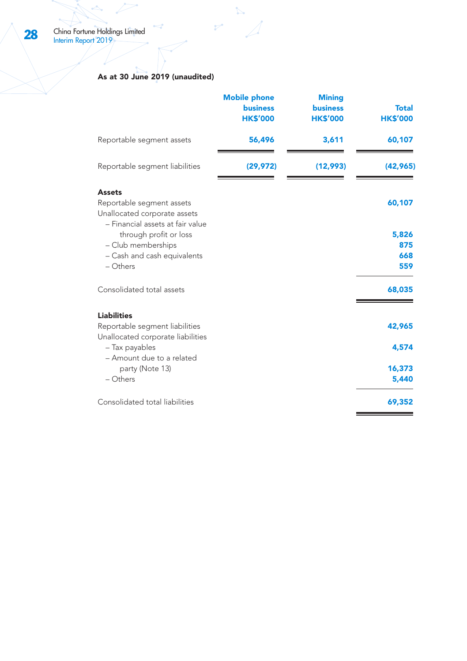#### As at 30 June 2019 (unaudited)

|                                                                                                                             | <b>Mobile phone</b><br><b>business</b><br><b>HK\$'000</b> | <b>Mining</b><br><b>business</b><br><b>HK\$'000</b> | <b>Total</b><br><b>HK\$'000</b> |
|-----------------------------------------------------------------------------------------------------------------------------|-----------------------------------------------------------|-----------------------------------------------------|---------------------------------|
| Reportable segment assets                                                                                                   | 56,496                                                    | 3,611                                               | 60,107                          |
| Reportable segment liabilities                                                                                              | (29, 972)                                                 | (12,993)                                            | (42, 965)                       |
| <b>Assets</b><br>Reportable segment assets<br>Unallocated corporate assets                                                  |                                                           |                                                     | 60,107                          |
| - Financial assets at fair value<br>through profit or loss<br>- Club memberships<br>- Cash and cash equivalents<br>- Others |                                                           |                                                     | 5,826<br>875<br>668<br>559      |
| Consolidated total assets                                                                                                   |                                                           |                                                     | 68,035                          |
| <b>Liabilities</b><br>Reportable segment liabilities<br>Unallocated corporate liabilities                                   |                                                           |                                                     | 42,965                          |
| - Tax payables<br>- Amount due to a related                                                                                 |                                                           |                                                     | 4.574                           |
| party (Note 13)<br>$-$ Others                                                                                               |                                                           |                                                     | 16,373<br>5,440                 |
| Consolidated total liabilities                                                                                              |                                                           |                                                     | 69,352                          |

 $\mathbb{Z}$ 

 $\mathcal{P}^{\bullet}$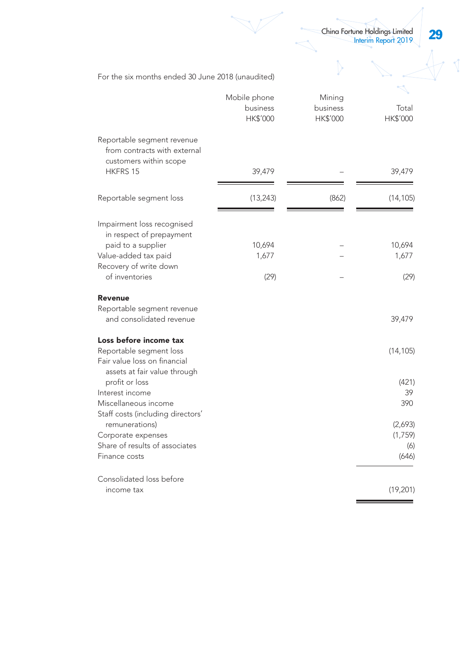29 China Fortune Holdings Limited Interim Report 2019

 $\overline{\mathbb{I}}$ 

|                                                                                         | Mobile phone<br>business<br><b>HK\$'000</b> | Mining<br>business<br><b>HK\$'000</b> | Total<br>HK\$'000 |
|-----------------------------------------------------------------------------------------|---------------------------------------------|---------------------------------------|-------------------|
| Reportable segment revenue<br>from contracts with external<br>customers within scope    |                                             |                                       |                   |
| <b>HKFRS 15</b>                                                                         | 39,479                                      |                                       | 39,479            |
| Reportable segment loss                                                                 | (13, 243)                                   | (862)                                 | (14, 105)         |
| Impairment loss recognised<br>in respect of prepayment                                  |                                             |                                       |                   |
| paid to a supplier<br>Value-added tax paid                                              | 10,694<br>1,677                             |                                       | 10,694<br>1,677   |
| Recovery of write down                                                                  |                                             |                                       |                   |
| of inventories                                                                          | (29)                                        |                                       | (29)              |
| Revenue                                                                                 |                                             |                                       |                   |
| Reportable segment revenue<br>and consolidated revenue                                  |                                             |                                       | 39,479            |
| Loss before income tax                                                                  |                                             |                                       |                   |
| Reportable segment loss<br>Fair value loss on financial<br>assets at fair value through |                                             |                                       | (14, 105)         |
| profit or loss                                                                          |                                             |                                       | (421)             |
| Interest income<br>Miscellaneous income                                                 |                                             |                                       | 39<br>390         |
| Staff costs (including directors'                                                       |                                             |                                       |                   |
| remunerations)                                                                          |                                             |                                       | (2,693)           |
| Corporate expenses<br>Share of results of associates                                    |                                             |                                       | (1,759)<br>(6)    |
| Finance costs                                                                           |                                             |                                       | (646)             |
| Consolidated loss before                                                                |                                             |                                       |                   |
| income tax                                                                              |                                             |                                       | (19, 201)         |

For the six months ended 30 June 2018 (unaudited)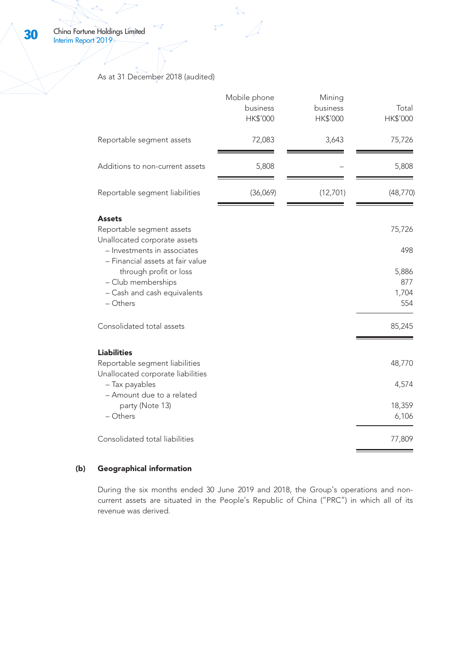As at 31 December 2018 (audited)

 $\mathcal{P}^*$ 

|                                                                                                 | Mobile phone<br>business<br>HK\$'000 | Mining<br>business<br>HK\$'000 | Total<br>HK\$'000 |
|-------------------------------------------------------------------------------------------------|--------------------------------------|--------------------------------|-------------------|
| Reportable segment assets                                                                       | 72,083                               | 3,643                          | 75,726            |
| Additions to non-current assets                                                                 | 5,808                                |                                | 5,808             |
| Reportable segment liabilities                                                                  | (36,069)                             | (12,701)                       | (48, 770)         |
| <b>Assets</b><br>Reportable segment assets                                                      |                                      |                                | 75,726            |
| Unallocated corporate assets<br>- Investments in associates<br>- Financial assets at fair value |                                      |                                | 498               |
| through profit or loss<br>- Club memberships                                                    |                                      |                                | 5,886<br>877      |
| - Cash and cash equivalents<br>- Others                                                         |                                      |                                | 1,704<br>554      |
| Consolidated total assets                                                                       |                                      |                                | 85,245            |
| <b>Liabilities</b>                                                                              |                                      |                                |                   |
| Reportable segment liabilities<br>Unallocated corporate liabilities                             |                                      |                                | 48,770            |
| - Tax payables<br>- Amount due to a related                                                     |                                      |                                | 4,574             |
| party (Note 13)<br>- Others                                                                     |                                      |                                | 18,359<br>6,106   |
| Consolidated total liabilities                                                                  |                                      |                                | 77,809            |

# (b) Geographical information

During the six months ended 30 June 2019 and 2018, the Group's operations and noncurrent assets are situated in the People's Republic of China ("PRC") in which all of its revenue was derived.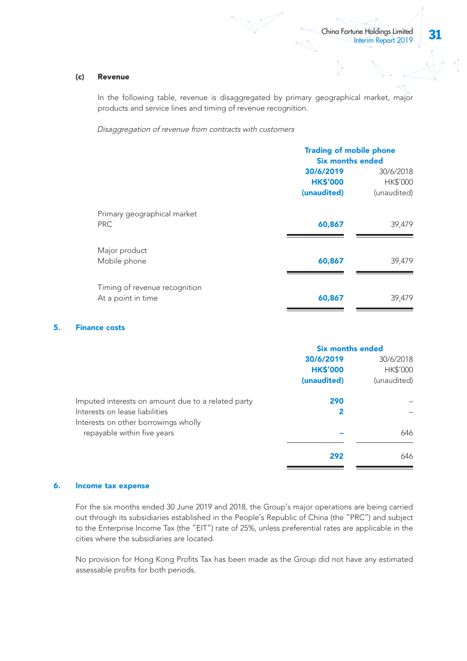#### (c) Revenue

In the following table, revenue is disaggregated by primary geographical market, major products and service lines and timing of revenue recognition.

Disaggregation of revenue from contracts with customers

|                                                     |                                             | <b>Trading of mobile phone</b><br><b>Six months ended</b> |  |
|-----------------------------------------------------|---------------------------------------------|-----------------------------------------------------------|--|
|                                                     | 30/6/2019<br><b>HK\$'000</b><br>(unaudited) | 30/6/2018<br><b>HK\$'000</b><br>(unaudited)               |  |
| Primary geographical market<br>PRC.                 | 60,867                                      | 39,479                                                    |  |
| Major product<br>Mobile phone                       | 60,867                                      | 39,479                                                    |  |
| Timing of revenue recognition<br>At a point in time | 60,867                                      | 39,479                                                    |  |

#### 5. Finance costs

|                                                    | <b>Six months ended</b> |             |
|----------------------------------------------------|-------------------------|-------------|
|                                                    | 30/6/2019               | 30/6/2018   |
|                                                    | <b>HK\$'000</b>         | HK\$'000    |
|                                                    | (unaudited)             | (unaudited) |
| Imputed interests on amount due to a related party | 290                     |             |
| Interests on lease liabilities                     | 2                       |             |
| Interests on other borrowings wholly               |                         |             |
| repayable within five years                        |                         | 646         |
|                                                    | 292                     | 646         |

#### 6. Income tax expense

For the six months ended 30 June 2019 and 2018, the Group's major operations are being carried out through its subsidiaries established in the People's Republic of China (the "PRC") and subject to the Enterprise Income Tax (the "EIT") rate of 25%, unless preferential rates are applicable in the cities where the subsidiaries are located.

No provision for Hong Kong Profits Tax has been made as the Group did not have any estimated assessable profits for both periods.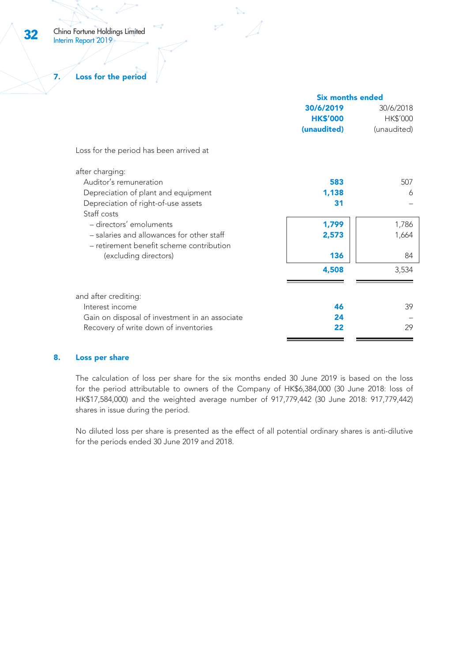7. Loss for the period

|                                                | <b>Six months ended</b> |             |
|------------------------------------------------|-------------------------|-------------|
|                                                | 30/6/2019               | 30/6/2018   |
|                                                | <b>HK\$'000</b>         | HK\$'000    |
|                                                | (unaudited)             | (unaudited) |
| Loss for the period has been arrived at        |                         |             |
| after charging:                                |                         |             |
| Auditor's remuneration                         | 583                     | 507         |
| Depreciation of plant and equipment            | 1,138                   | 6           |
| Depreciation of right-of-use assets            | 31                      |             |
| Staff costs                                    |                         |             |
| - directors' emoluments                        | 1,799                   | 1,786       |
| - salaries and allowances for other staff      | 2,573                   | 1,664       |
| - retirement benefit scheme contribution       |                         |             |
| (excluding directors)                          | 136                     | 84          |
|                                                | 4,508                   | 3,534       |
|                                                |                         |             |
| and after crediting:                           |                         |             |
| Interest income                                | 46                      | 39          |
| Gain on disposal of investment in an associate | 24                      |             |
| Recovery of write down of inventories          | 22                      | 29          |
|                                                |                         |             |

#### 8. Loss per share

The calculation of loss per share for the six months ended 30 June 2019 is based on the loss for the period attributable to owners of the Company of HK\$6,384,000 (30 June 2018: loss of HK\$17,584,000) and the weighted average number of 917,779,442 (30 June 2018: 917,779,442) shares in issue during the period.

No diluted loss per share is presented as the effect of all potential ordinary shares is anti-dilutive for the periods ended 30 June 2019 and 2018.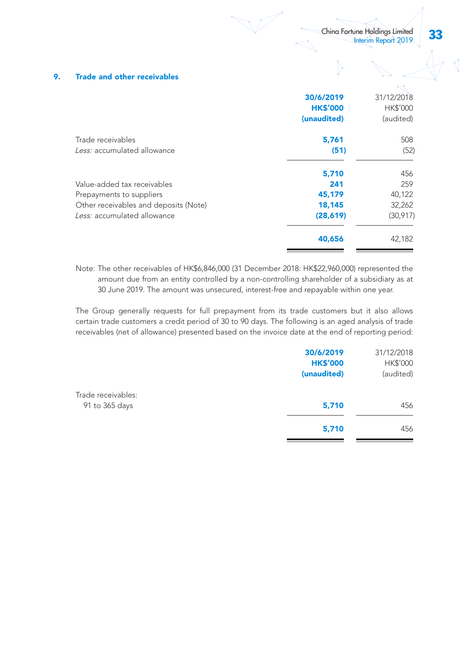#### 9. Trade and other receivables

| 30/6/2019       | 31/12/2018      |
|-----------------|-----------------|
| <b>HK\$'000</b> | <b>HK\$'000</b> |
| (unaudited)     | (audited)       |
| 5,761           | 508             |
| (51)            | (52)            |
| 5,710           | 456             |
| 241             | 259             |
| 45,179          | 40,122          |
| 18,145          | 32,262          |
| (28,619)        | (30,917)        |
| 40,656          | 42,182          |
|                 |                 |

Note: The other receivables of HK\$6,846,000 (31 December 2018: HK\$22,960,000) represented the amount due from an entity controlled by a non-controlling shareholder of a subsidiary as at 30 June 2019. The amount was unsecured, interest-free and repayable within one year.

The Group generally requests for full prepayment from its trade customers but it also allows certain trade customers a credit period of 30 to 90 days. The following is an aged analysis of trade receivables (net of allowance) presented based on the invoice date at the end of reporting period:

|                                      | 30/6/2019<br><b>HK\$'000</b><br>(unaudited) | 31/12/2018<br>HK\$'000<br>(audited) |
|--------------------------------------|---------------------------------------------|-------------------------------------|
| Trade receivables:<br>91 to 365 days | 5,710                                       | 456                                 |
|                                      | 5,710                                       | 456                                 |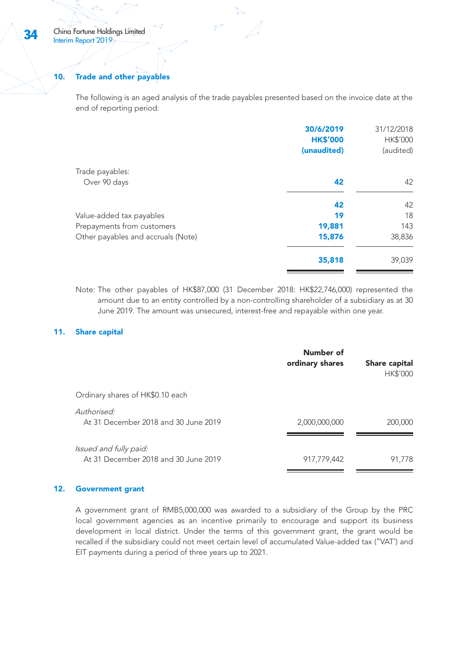#### 10. Trade and other payables

The following is an aged analysis of the trade payables presented based on the invoice date at the end of reporting period:

| 30/6/2019       | 31/12/2018      |
|-----------------|-----------------|
| <b>HK\$'000</b> | <b>HK\$'000</b> |
| (unaudited)     | (audited)       |
|                 |                 |
| 42              | 42              |
| 42              | 42              |
| 19              | 18              |
| 19,881          | 143             |
| 15,876          | 38,836          |
| 35,818          | 39,039          |
|                 |                 |

Note: The other payables of HK\$87,000 (31 December 2018: HK\$22,746,000) represented the amount due to an entity controlled by a non-controlling shareholder of a subsidiary as at 30 June 2019. The amount was unsecured, interest-free and repayable within one year.

#### 11. Share capital

|                                                                | Number of<br>ordinary shares | Share capital<br><b>HK\$'000</b> |
|----------------------------------------------------------------|------------------------------|----------------------------------|
| Ordinary shares of HK\$0.10 each                               |                              |                                  |
| Authorised:<br>At 31 December 2018 and 30 June 2019            | 2,000,000,000                | 200,000                          |
| Issued and fully paid:<br>At 31 December 2018 and 30 June 2019 | 917,779,442                  | 91.778                           |

#### 12. Government grant

A government grant of RMB5,000,000 was awarded to a subsidiary of the Group by the PRC local government agencies as an incentive primarily to encourage and support its business development in local district. Under the terms of this government grant, the grant would be recalled if the subsidiary could not meet certain level of accumulated Value-added tax ("VAT') and EIT payments during a period of three years up to 2021.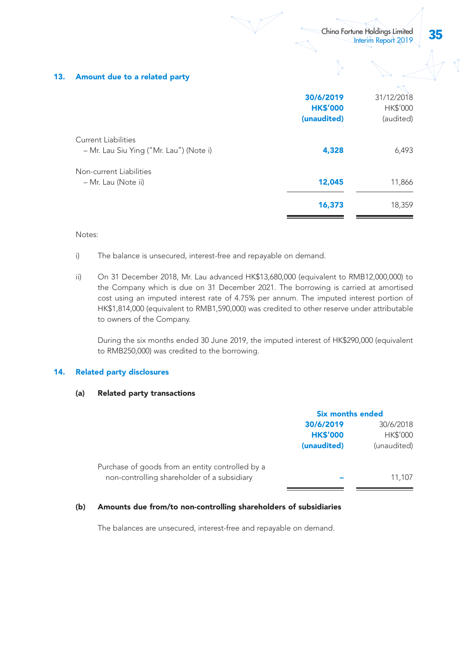#### 13. Amount due to a related party

|                                                                | 30/6/2019<br><b>HK\$'000</b><br>(unaudited) | 31/12/2018<br>HK\$'000<br>(audited) |
|----------------------------------------------------------------|---------------------------------------------|-------------------------------------|
| Current Liabilities<br>- Mr. Lau Siu Ying ("Mr. Lau") (Note i) | 4,328                                       | 6,493                               |
| Non-current Liabilities<br>- Mr. Lau (Note ii)                 | 12,045                                      | 11,866                              |
|                                                                | 16,373                                      | 18,359                              |

#### Notes:

- i) The balance is unsecured, interest-free and repayable on demand.
- ii) On 31 December 2018, Mr. Lau advanced HK\$13,680,000 (equivalent to RMB12,000,000) to the Company which is due on 31 December 2021. The borrowing is carried at amortised cost using an imputed interest rate of 4.75% per annum. The imputed interest portion of HK\$1,814,000 (equivalent to RMB1,590,000) was credited to other reserve under attributable to owners of the Company.

During the six months ended 30 June 2019, the imputed interest of HK\$290,000 (equivalent to RMB250,000) was credited to the borrowing.

#### 14. Related party disclosures

#### (a) Related party transactions

| <b>Six months ended</b> |                 |
|-------------------------|-----------------|
| 30/6/2019               | 30/6/2018       |
| <b>HK\$'000</b>         | <b>HK\$'000</b> |
| (unaudited)             | (unaudited)     |
|                         |                 |
|                         | 11.107          |
|                         |                 |

#### (b) Amounts due from/to non-controlling shareholders of subsidiaries

The balances are unsecured, interest-free and repayable on demand.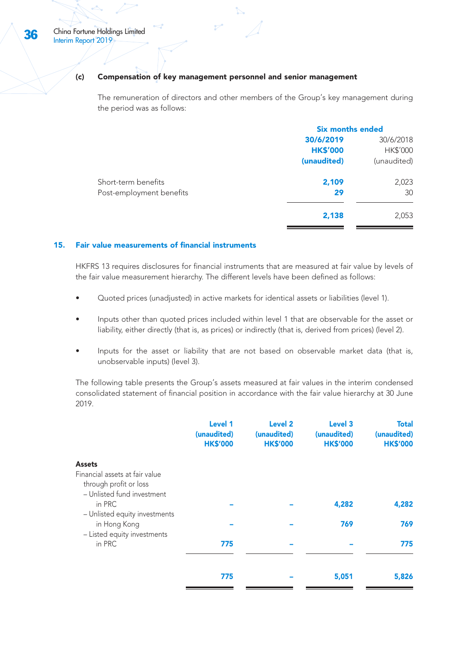#### (c) Compensation of key management personnel and senior management

The remuneration of directors and other members of the Group's key management during the period was as follows:

|                          | <b>Six months ended</b> |             |
|--------------------------|-------------------------|-------------|
|                          | 30/6/2019               | 30/6/2018   |
|                          | <b>HK\$'000</b>         | HK\$'000    |
|                          | (unaudited)             | (unaudited) |
| Short-term benefits      | 2,109                   | 2,023       |
| Post-employment benefits | 29                      | 30          |
|                          | 2,138                   | 2,053       |
|                          |                         |             |

#### 15. Fair value measurements of financial instruments

HKFRS 13 requires disclosures for financial instruments that are measured at fair value by levels of the fair value measurement hierarchy. The different levels have been defined as follows:

- Quoted prices (unadjusted) in active markets for identical assets or liabilities (level 1).
- Inputs other than quoted prices included within level 1 that are observable for the asset or liability, either directly (that is, as prices) or indirectly (that is, derived from prices) (level 2).
- Inputs for the asset or liability that are not based on observable market data (that is, unobservable inputs) (level 3).

The following table presents the Group's assets measured at fair values in the interim condensed consolidated statement of financial position in accordance with the fair value hierarchy at 30 June 2019.

|                                                                                        | Level 1<br>(unaudited)<br><b>HK\$'000</b> | Level <sub>2</sub><br>(unaudited)<br><b>HK\$'000</b> | Level <sub>3</sub><br>(unaudited)<br><b>HK\$'000</b> | <b>Total</b><br>(unaudited)<br><b>HK\$'000</b> |
|----------------------------------------------------------------------------------------|-------------------------------------------|------------------------------------------------------|------------------------------------------------------|------------------------------------------------|
| <b>Assets</b>                                                                          |                                           |                                                      |                                                      |                                                |
| Financial assets at fair value<br>through profit or loss<br>- Unlisted fund investment |                                           |                                                      |                                                      |                                                |
| in PRC<br>- Unlisted equity investments                                                |                                           |                                                      | 4,282                                                | 4,282                                          |
| in Hong Kong<br>- Listed equity investments                                            |                                           |                                                      | 769                                                  | 769                                            |
| in PRC                                                                                 | 775                                       |                                                      |                                                      | 775                                            |
|                                                                                        | 775                                       |                                                      | 5,051                                                | 5,826                                          |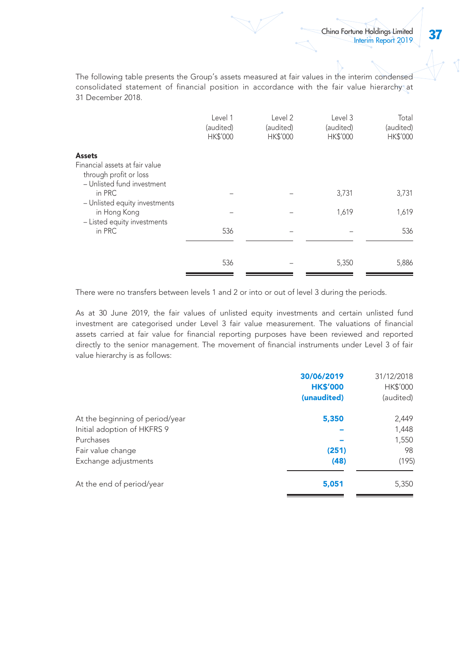The following table presents the Group's assets measured at fair values in the interim condensed consolidated statement of financial position in accordance with the fair value hierarchy at 31 December 2018.

|                                                                                        | Level 1<br>(audited)<br>HK\$'000 | Level 2<br>(audited)<br>HK\$'000 | Level 3<br>(audited)<br>HK\$'000 | Total<br>(audited)<br>HK\$'000 |
|----------------------------------------------------------------------------------------|----------------------------------|----------------------------------|----------------------------------|--------------------------------|
| Assets                                                                                 |                                  |                                  |                                  |                                |
| Financial assets at fair value<br>through profit or loss<br>- Unlisted fund investment |                                  |                                  |                                  |                                |
| in PRC<br>- Unlisted equity investments                                                |                                  |                                  | 3,731                            | 3,731                          |
| in Hong Kong<br>- Listed equity investments                                            |                                  |                                  | 1,619                            | 1,619                          |
| in PRC                                                                                 | 536                              |                                  |                                  | 536                            |
|                                                                                        | 536                              |                                  | 5,350                            | 5,886                          |

There were no transfers between levels 1 and 2 or into or out of level 3 during the periods.

As at 30 June 2019, the fair values of unlisted equity investments and certain unlisted fund investment are categorised under Level 3 fair value measurement. The valuations of financial assets carried at fair value for financial reporting purposes have been reviewed and reported directly to the senior management. The movement of financial instruments under Level 3 of fair value hierarchy is as follows:

|                                 | 30/06/2019<br><b>HK\$'000</b><br>(unaudited) | 31/12/2018<br>HK\$'000<br>(audited) |
|---------------------------------|----------------------------------------------|-------------------------------------|
| At the beginning of period/year | 5,350                                        | 2,449                               |
| Initial adoption of HKFRS 9     |                                              | 1,448                               |
| Purchases                       |                                              | 1,550                               |
| Fair value change               | (251)                                        | 98                                  |
| Exchange adjustments            | (48)                                         | (195)                               |
| At the end of period/year       | 5,051                                        | 5,350                               |